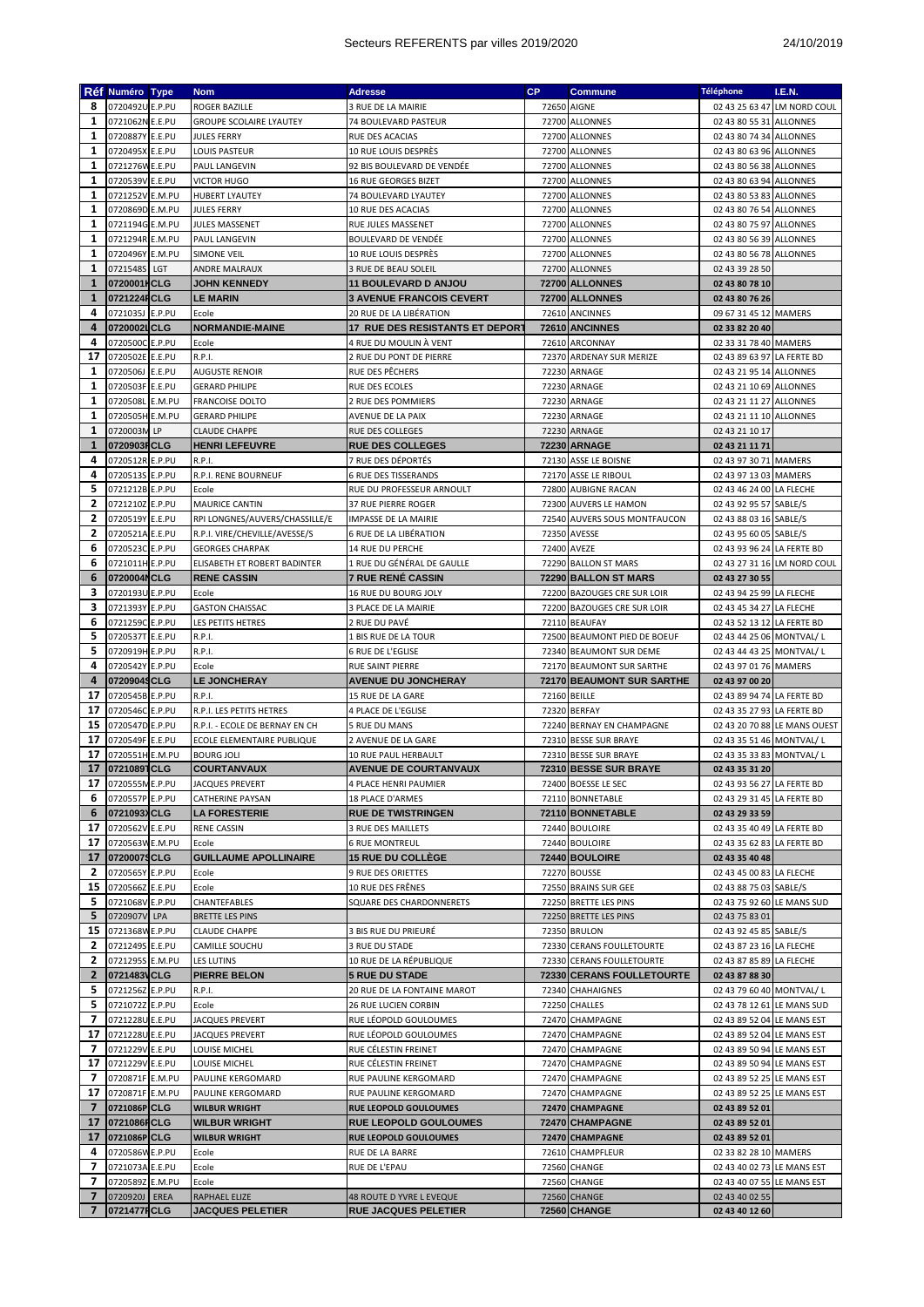|                          | Réf Numéro Type    |     | <b>Nom</b>                     | <b>Adresse</b>                         | <b>CP</b> | Commune                      | <b>Téléphone</b>           | I.E.N.                       |
|--------------------------|--------------------|-----|--------------------------------|----------------------------------------|-----------|------------------------------|----------------------------|------------------------------|
| 8                        | 0720492U E.P.PU    |     | ROGER BAZILLE                  | 3 RUE DE LA MAIRIE                     |           | 72650 AIGNE                  |                            | 02 43 25 63 47 LM NORD COUL  |
| 1                        | 0721062N E.E.PU    |     | <b>GROUPE SCOLAIRE LYAUTEY</b> | 74 BOULEVARD PASTEUR                   |           | 72700 ALLONNES               | 02 43 80 55 31 ALLONNES    |                              |
|                          |                    |     |                                |                                        |           |                              |                            |                              |
| 1                        | 0720887Y E.E.PU    |     | <b>JULES FERRY</b>             | RUE DES ACACIAS                        |           | 72700 ALLONNES               | 02 43 80 74 34 ALLONNES    |                              |
| 1                        | 0720495X E.E.PU    |     | LOUIS PASTEUR                  | 10 RUE LOUIS DESPRÉS                   |           | 72700 ALLONNES               | 02 43 80 63 96 ALLONNES    |                              |
| 1                        | 0721276W E.E.PU    |     | PAUL LANGEVIN                  | 92 BIS BOULEVARD DE VENDÉE             |           | 72700 ALLONNES               | 02 43 80 56 38 ALLONNES    |                              |
| 1                        | 0720539V E.E.PU    |     | <b>VICTOR HUGO</b>             | <b>16 RUE GEORGES BIZET</b>            |           | 72700 ALLONNES               | 02 43 80 63 94 ALLONNES    |                              |
| 1                        |                    |     |                                |                                        |           | 72700 ALLONNES               |                            |                              |
|                          | 0721252V E.M.PU    |     | <b>HUBERT LYAUTEY</b>          | 74 BOULEVARD LYAUTEY                   |           |                              | 02 43 80 53 83 ALLONNES    |                              |
| 1                        | 0720869D E.M.PU    |     | <b>JULES FERRY</b>             | 10 RUE DES ACACIAS                     |           | 72700 ALLONNES               | 02 43 80 76 54 ALLONNES    |                              |
| 1                        | 0721194G E.M.PU    |     | <b>JULES MASSENET</b>          | RUE JULES MASSENET                     |           | 72700 ALLONNES               | 02 43 80 75 97 ALLONNES    |                              |
| 1                        | 0721294R E.M.PU    |     | PAUL LANGEVIN                  | <b>BOULEVARD DE VENDÉE</b>             |           | 72700 ALLONNES               | 02 43 80 56 39 ALLONNES    |                              |
| 1                        | 0720496Y E.M.PU    |     | <b>SIMONE VEIL</b>             | 10 RUE LOUIS DESPRÈS                   |           | 72700 ALLONNES               | 02 43 80 56 78 ALLONNES    |                              |
|                          |                    |     |                                |                                        |           |                              |                            |                              |
| 1                        | 0721548S           | LGT | ANDRE MALRAUX                  | 3 RUE DE BEAU SOLEIL                   |           | 72700 ALLONNES               | 02 43 39 28 50             |                              |
| $\mathbf{1}$             | 0720001HCLG        |     | <b>JOHN KENNEDY</b>            | <b>11 BOULEVARD D ANJOU</b>            |           | 72700 ALLONNES               | 02 43 80 78 10             |                              |
| $\mathbf{1}$             | 0721224FCLG        |     | LE MARIN                       | <b>3 AVENUE FRANCOIS CEVERT</b>        |           | 72700 ALLONNES               | 02 43 80 76 26             |                              |
| 4                        | 0721035J E.P.PU    |     | Ecole                          | 20 RUE DE LA LIBÉRATION                |           | 72610 ANCINNES               | 09 67 31 45 12 MAMERS      |                              |
| 4                        | 0720002LCLG        |     | <b>NORMANDIE-MAINE</b>         | <b>17 RUE DES RESISTANTS ET DEPORT</b> |           | 72610 ANCINNES               | 02 33 82 20 40             |                              |
| 4                        | 0720500C E.P.PU    |     | Ecole                          | 4 RUE DU MOULIN À VENT                 |           | 72610 ARCONNAY               | 02 33 31 78 40 MAMERS      |                              |
|                          |                    |     |                                |                                        |           |                              |                            |                              |
| 17                       | 0720502E E.E.PU    |     | R.P.I.                         | 2 RUE DU PONT DE PIERRE                |           | 72370 ARDENAY SUR MERIZE     | 02 43 89 63 97 LA FERTE BD |                              |
| 1                        | 0720506J E.E.PU    |     | <b>AUGUSTE RENOIR</b>          | RUE DES PÊCHERS                        |           | 72230 ARNAGE                 | 02 43 21 95 14 ALLONNES    |                              |
| 1                        | 0720503F E.E.PU    |     | <b>GERARD PHILIPE</b>          | RUE DES ECOLES                         |           | 72230 ARNAGE                 | 02 43 21 10 69 ALLONNES    |                              |
| 1                        | 0720508L E.M.PU    |     | FRANCOISE DOLTO                | 2 RUE DES POMMIERS                     |           | 72230 ARNAGE                 | 02 43 21 11 27 ALLONNES    |                              |
| 1                        |                    |     |                                | AVENUE DE LA PAIX                      |           |                              |                            |                              |
|                          | 0720505H E.M.PU    |     | <b>GERARD PHILIPE</b>          |                                        |           | 72230 ARNAGE                 | 02 43 21 11 10 ALLONNES    |                              |
| $\mathbf{1}$             | 0720003N LP        |     | <b>CLAUDE CHAPPE</b>           | <b>RUE DES COLLEGES</b>                |           | 72230 ARNAGE                 | 02 43 21 10 17             |                              |
| $\mathbf{1}$             | 0720903FCLG        |     | <b>HENRI LEFEUVRE</b>          | <b>RUE DES COLLEGES</b>                |           | <b>72230 ARNAGE</b>          | 02 43 21 11 71             |                              |
| 4                        | 0720512R E.P.PU    |     | R.P.I.                         | 7 RUE DES DÉPORTÉS                     |           | 72130 ASSE LE BOISNE         | 02 43 97 30 71 MAMERS      |                              |
| 4                        | 0720513S E.P.PU    |     | R.P.I. RENE BOURNEUF           | <b>6 RUE DES TISSERANDS</b>            |           | 72170 ASSE LE RIBOUL         | 02 43 97 13 03 MAMERS      |                              |
| 5                        | 0721212B E.P.PU    |     | Ecole                          | RUE DU PROFESSEUR ARNOULT              |           | 72800 AUBIGNE RACAN          | 02 43 46 24 00 LA FLECHE   |                              |
| 2                        |                    |     |                                |                                        |           |                              |                            |                              |
|                          | 0721210Z E.P.PU    |     | <b>MAURICE CANTIN</b>          | 37 RUE PIERRE ROGER                    |           | 72300 AUVERS LE HAMON        | 02 43 92 95 57 SABLE/S     |                              |
| 2                        | 0720519Y E.E.PU    |     | RPI LONGNES/AUVERS/CHASSILLE/E | IMPASSE DE LA MAIRIE                   |           | 72540 AUVERS SOUS MONTFAUCON | 02 43 88 03 16 SABLE/S     |                              |
| 2                        | 0720521A E.E.PU    |     | R.P.I. VIRE/CHEVILLE/AVESSE/S  | 6 RUE DE LA LIBÉRATION                 |           | 72350 AVESSE                 | 02 43 95 60 05 SABLE/S     |                              |
| 6                        | 0720523C E.P.PU    |     | <b>GEORGES CHARPAK</b>         | <b>14 RUE DU PERCHE</b>                |           | 72400 AVEZE                  | 02 43 93 96 24 LA FERTE BD |                              |
| 6                        | 0721011H E.P.PU    |     | ELISABETH ET ROBERT BADINTER   | 1 RUE DU GÉNÉRAL DE GAULLE             |           | 72290 BALLON ST MARS         |                            | 02 43 27 31 16 LM NORD COUL  |
| 6                        | 0720004NCLG        |     | <b>RENE CASSIN</b>             | <b>7 RUE RENÉ CASSIN</b>               |           | 72290 BALLON ST MARS         | 02 43 27 30 55             |                              |
|                          |                    |     |                                |                                        |           |                              |                            |                              |
| з                        | 0720193U E.P.PU    |     | Ecole                          | 16 RUE DU BOURG JOLY                   |           | 72200 BAZOUGES CRE SUR LOIR  | 02 43 94 25 99 LA FLECHE   |                              |
| 3                        | 0721393Y E.P.PU    |     | <b>GASTON CHAISSAC</b>         | 3 PLACE DE LA MAIRIE                   |           | 72200 BAZOUGES CRE SUR LOIR  | 02 43 45 34 27 LA FLECHE   |                              |
| 6                        | 0721259C E.P.PU    |     | LES PETITS HETRES              | 2 RUE DU PAVÉ                          |           | 72110 BEAUFAY                | 02 43 52 13 12 LA FERTE BD |                              |
| 5                        | 0720537T E.E.PU    |     | R.P.I.                         | 1 BIS RUE DE LA TOUR                   |           | 72500 BEAUMONT PIED DE BOEUF | 02 43 44 25 06 MONTVAL/L   |                              |
| 5                        | 0720919H E.P.PU    |     | R.P.I.                         | <b>6 RUE DE L'EGLISE</b>               |           | 72340 BEAUMONT SUR DEME      | 02 43 44 43 25 MONTVAL/L   |                              |
| 4                        | 0720542Y E.P.PU    |     | Ecole                          | RUE SAINT PIERRE                       |           | 72170 BEAUMONT SUR SARTHE    | 02 43 97 01 76 MAMERS      |                              |
|                          |                    |     |                                |                                        |           |                              |                            |                              |
| 4                        | 07209049CLG        |     | <b>LE JONCHERAY</b>            | <b>AVENUE DU JONCHERAY</b>             |           | 72170 BEAUMONT SUR SARTHE    | 02 43 97 00 20             |                              |
| 17                       | 0720545B E.P.PU    |     | R.P.I.                         | 15 RUE DE LA GARE                      |           | 72160 BEILLE                 | 02 43 89 94 74 LA FERTE BD |                              |
| 17                       | 0720546C E.P.PU    |     | R.P.I. LES PETITS HETRES       | 4 PLACE DE L'EGLISE                    |           | 72320 BERFAY                 | 02 43 35 27 93 LA FERTE BD |                              |
| 15                       | 0720547D E.P.PU    |     | R.P.I. - ECOLE DE BERNAY EN CH | <b>5 RUE DU MANS</b>                   |           | 72240 BERNAY EN CHAMPAGNE    |                            | 02 43 20 70 88 LE MANS OUEST |
| 17                       | 0720549F E.E.PU    |     | ECOLE ELEMENTAIRE PUBLIQUE     | 2 AVENUE DE LA GARE                    |           | 72310 BESSE SUR BRAYE        | 02 43 35 51 46 MONTVAL/L   |                              |
| 17                       | 0720551H E.M.PU    |     | <b>BOURG JOLI</b>              | 10 RUE PAUL HERBAULT                   |           | 72310 BESSE SUR BRAYE        | 02 43 35 33 83 MONTVAL/L   |                              |
|                          |                    |     |                                |                                        |           |                              |                            |                              |
| 17                       | 07210891CLG        |     | <b>COURTANVAUX</b>             | <b>AVENUE DE COURTANVAUX</b>           |           | 72310 BESSE SUR BRAYE        | 02 43 35 31 20             |                              |
|                          | 17 0720555M E.P.PU |     | <b>JACQUES PREVERT</b>         | 4 PLACE HENRI PAUMIER                  |           | 72400 BOESSE LE SEC          | 02 43 93 56 27 LA FERTE BD |                              |
| 6                        | 0720557P E.P.PU    |     | CATHERINE PAYSAN               | 18 PLACE D'ARMES                       |           | 72110 BONNETABLE             | 02 43 29 31 45 LA FERTE BD |                              |
| 6                        | 0721093) CLG       |     | <b>LA FORESTERIE</b>           | <b>RUE DE TWISTRINGEN</b>              |           | 72110 BONNETABLE             | 02 43 29 33 59             |                              |
| 17                       | 0720562V E.E.PU    |     | RENE CASSIN                    | 3 RUE DES MAILLETS                     |           | 72440 BOULOIRE               | 02 43 35 40 49 LA FERTE BD |                              |
| 17                       | 0720563W E.M.PU    |     | Ecole                          | <b>6 RUE MONTREUL</b>                  |           | 72440 BOULOIRE               | 02 43 35 62 83 LA FERTE BD |                              |
|                          |                    |     |                                |                                        |           |                              |                            |                              |
| 17                       | 07200079CLG        |     | <b>GUILLAUME APOLLINAIRE</b>   | <b>15 RUE DU COLLÉGE</b>               |           | 72440 BOULOIRE               | 02 43 35 40 48             |                              |
| 2                        | 0720565Y E.P.PU    |     | Ecole                          | 9 RUE DES ORIETTES                     |           | <b>72270 BOUSSE</b>          | 02 43 45 00 83 LA FLECHE   |                              |
| 15                       | 0720566Z E.E.PU    |     | Ecole                          | 10 RUE DES FRÊNES                      |           | 72550 BRAINS SUR GEE         | 02 43 88 75 03 SABLE/S     |                              |
| 5                        | 0721068V E.P.PU    |     | CHANTEFABLES                   | SQUARE DES CHARDONNERETS               |           | 72250 BRETTE LES PINS        | 02 43 75 92 60 LE MANS SUD |                              |
| 5                        | 0720907V LPA       |     | BRETTE LES PINS                |                                        |           | 72250 BRETTE LES PINS        | 02 43 75 83 01             |                              |
|                          | 15 0721368W E.P.PU |     | <b>CLAUDE CHAPPE</b>           | 3 BIS RUE DU PRIEURÉ                   |           | 72350 BRULON                 | 02 43 92 45 85 SABLE/S     |                              |
|                          |                    |     |                                |                                        |           |                              |                            |                              |
| 2                        | 0721249S E.E.PU    |     | CAMILLE SOUCHU                 | 3 RUE DU STADE                         |           | 72330 CERANS FOULLETOURTE    | 02 43 87 23 16 LA FLECHE   |                              |
| 2                        | 0721295S E.M.PU    |     | LES LUTINS                     | 10 RUE DE LA RÉPUBLIQUE                |           | 72330 CERANS FOULLETOURTE    | 02 43 87 85 89 LA FLECHE   |                              |
| 2                        | 0721483VCLG        |     | PIERRE BELON                   | <b>5 RUE DU STADE</b>                  |           | 72330 CERANS FOULLETOURTE    | 02 43 87 88 30             |                              |
| 5                        | 0721256Z E.P.PU    |     | R.P.I.                         | 20 RUE DE LA FONTAINE MAROT            |           | 72340 CHAHAIGNES             | 02 43 79 60 40 MONTVAL/L   |                              |
| 5                        | 0721072Z E.P.PU    |     | Ecole                          | <b>26 RUE LUCIEN CORBIN</b>            |           | 72250 CHALLES                | 02 43 78 12 61 LE MANS SUD |                              |
| 7                        | 0721228U E.E.PU    |     | JACQUES PREVERT                | RUE LÉOPOLD GOULOUMES                  |           | 72470 CHAMPAGNE              | 02 43 89 52 04 LE MANS EST |                              |
|                          |                    |     |                                |                                        |           |                              |                            |                              |
| 17                       | 0721228U E.E.PU    |     | JACQUES PREVERT                | RUE LÉOPOLD GOULOUMES                  |           | 72470 CHAMPAGNE              | 02 43 89 52 04 LE MANS EST |                              |
| 7                        | 0721229V E.E.PU    |     | LOUISE MICHEL                  | RUE CÉLESTIN FREINET                   |           | 72470 CHAMPAGNE              | 02 43 89 50 94 LE MANS EST |                              |
| 17                       | 0721229V E.E.PU    |     | LOUISE MICHEL                  | RUE CÉLESTIN FREINET                   |           | 72470 CHAMPAGNE              | 02 43 89 50 94 LE MANS EST |                              |
| 7                        | 0720871F E.M.PU    |     | PAULINE KERGOMARD              | RUE PAULINE KERGOMARD                  |           | 72470 CHAMPAGNE              | 02 43 89 52 25 LE MANS EST |                              |
| 17                       | 0720871F E.M.PU    |     | PAULINE KERGOMARD              | RUE PAULINE KERGOMARD                  |           | 72470 CHAMPAGNE              | 02 43 89 52 25 LE MANS EST |                              |
| $\overline{\phantom{a}}$ | 0721086P CLG       |     | <b>WILBUR WRIGHT</b>           | RUE LEOPOLD GOULOUMES                  |           | 72470 CHAMPAGNE              | 02 43 89 52 01             |                              |
| 17                       | 0721086FCLG        |     |                                | <b>RUE LEOPOLD GOULOUMES</b>           |           | 72470 CHAMPAGNE              |                            |                              |
|                          |                    |     | <b>WILBUR WRIGHT</b>           |                                        |           |                              | 02 43 89 52 01             |                              |
| 17                       | 0721086P CLG       |     | <b>WILBUR WRIGHT</b>           | RUE LEOPOLD GOULOUMES                  |           | 72470 CHAMPAGNE              | 02 43 89 52 01             |                              |
| 4                        | 0720586W E.P.PU    |     | Ecole                          | RUE DE LA BARRE                        |           | 72610 CHAMPFLEUR             | 02 33 82 28 10 MAMERS      |                              |
| 7                        | 0721073A E.E.PU    |     | Ecole                          | RUE DE L'EPAU                          |           | 72560 CHANGE                 | 02 43 40 02 73 LE MANS EST |                              |
| 7                        | 0720589Z E.M.PU    |     | Ecole                          |                                        |           | 72560 CHANGE                 | 02 43 40 07 55 LE MANS EST |                              |
| $\overline{7}$           | 0720920J EREA      |     | RAPHAEL ELIZE                  | 48 ROUTE D YVRE L EVEQUE               |           | 72560 CHANGE                 | 02 43 40 02 55             |                              |
| $\overline{7}$           | 0721477FCLG        |     | <b>JACQUES PELETIER</b>        | RUE JACQUES PELETIER                   |           | <b>72560 CHANGE</b>          | 02 43 40 12 60             |                              |
|                          |                    |     |                                |                                        |           |                              |                            |                              |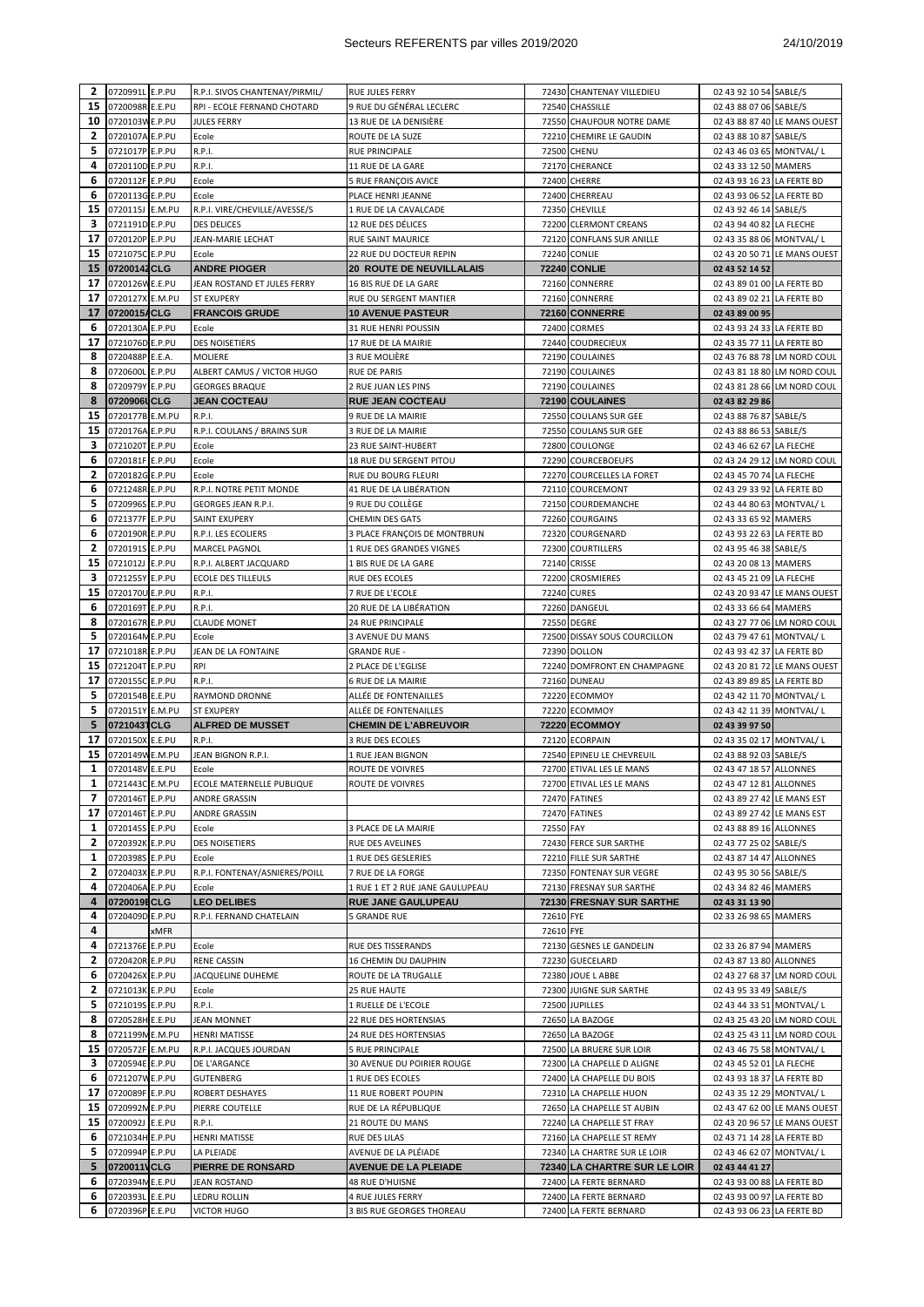## Secteurs REFERENTS par villes 2019/2020<br>
24/10/2019

| 2            | 0720991L E.P.PU                    |      | R.P.I. SIVOS CHANTENAY/PIRMIL/     | RUE JULES FERRY                                |           | 72430 CHANTENAY VILLEDIEU                        | 02 43 92 10 54 SABLE/S                                   |                              |
|--------------|------------------------------------|------|------------------------------------|------------------------------------------------|-----------|--------------------------------------------------|----------------------------------------------------------|------------------------------|
| 15           | 0720098R E.E.PU                    |      | RPI - ECOLE FERNAND CHOTARD        | 9 RUE DU GÉNÉRAL LECLERC                       |           | 72540 CHASSILLE                                  | 02 43 88 07 06 SABLE/S                                   |                              |
| 10           | 0720103W E.P.PU                    |      | <b>JULES FERRY</b>                 | 13 RUE DE LA DENISIÈRE                         |           | 72550 CHAUFOUR NOTRE DAME                        |                                                          | 02 43 88 87 40 LE MANS OUEST |
| 2            | 0720107A E.P.PU                    |      | Ecole                              | ROUTE DE LA SUZE                               |           | 72210 CHEMIRE LE GAUDIN                          | 02 43 88 10 87 SABLE/S                                   |                              |
| 5            | 0721017P E.P.PU                    |      | R.P.I.                             | RUE PRINCIPALE                                 |           | 72500 CHENU                                      | 02 43 46 03 65 MONTVAL/L                                 |                              |
| 4            | 0720110D E.P.PU                    |      | R.P.I.                             | 11 RUE DE LA GARE                              |           | 72170 CHERANCE                                   | 02 43 33 12 50 MAMERS                                    |                              |
| 6            | 0720112F E.P.PU                    |      | Ecole                              | 5 RUE FRANÇOIS AVICE                           |           | 72400 CHERRE                                     | 02 43 93 16 23 LA FERTE BD                               |                              |
| 6            | 0720113G E.P.PU                    |      | Ecole                              | PLACE HENRI JEANNE                             |           | 72400 CHERREAU                                   | 02 43 93 06 52 LA FERTE BD                               |                              |
|              |                                    |      |                                    |                                                |           |                                                  |                                                          |                              |
| 15           | 0720115J E.M.PU                    |      | R.P.I. VIRE/CHEVILLE/AVESSE/S      | 1 RUE DE LA CAVALCADE                          |           | 72350 CHEVILLE                                   | 02 43 92 46 14 SABLE/S                                   |                              |
| з            | 0721191D E.P.PU                    |      | <b>DES DELICES</b>                 | 12 RUE DES DÉLICES                             |           | 72200 CLERMONT CREANS                            | 02 43 94 40 82 LA FLECHE                                 |                              |
| 17           | 0720120P E.P.PU                    |      | JEAN-MARIE LECHAT                  | <b>RUE SAINT MAURICE</b>                       |           | 72120 CONFLANS SUR ANILLE                        | 02 43 35 88 06 MONTVAL/L                                 |                              |
| 15           | 0721075C E.P.PU                    |      | Ecole                              | 22 RUE DU DOCTEUR REPIN                        |           | <b>72240 CONLIE</b>                              |                                                          | 02 43 20 50 71 LE MANS OUEST |
| 15           | 07200142CLG                        |      | <b>ANDRE PIOGER</b>                | <b>20 ROUTE DE NEUVILLALAIS</b>                |           | <b>72240 CONLIE</b>                              | 02 43 52 14 52                                           |                              |
| 17           | 0720126W E.E.PU                    |      | JEAN ROSTAND ET JULES FERRY        | 16 BIS RUE DE LA GARE                          |           | 72160 CONNERRE                                   | 02 43 89 01 00 LA FERTE BD                               |                              |
| 17           | 0720127X E.M.PU                    |      | <b>ST EXUPERY</b>                  | RUE DU SERGENT MANTIER                         |           | 72160 CONNERRE                                   | 02 43 89 02 21 LA FERTE BD                               |                              |
| 17           | 0720015ACLG                        |      | <b>FRANCOIS GRUDE</b>              | <b>10 AVENUE PASTEUR</b>                       |           | 72160 CONNERRE                                   | 02 43 89 00 95                                           |                              |
| 6            | 0720130A E.P.PU                    |      | Ecole                              | 31 RUE HENRI POUSSIN                           |           | 72400 CORMES                                     | 02 43 93 24 33 LA FERTE BD                               |                              |
|              |                                    |      |                                    |                                                |           |                                                  |                                                          |                              |
| 17           | 0721076D E.P.PU                    |      | <b>DES NOISETIERS</b>              | 17 RUE DE LA MAIRIE                            |           | 72440 COUDRECIEUX                                | 02 43 35 77 11 LA FERTE BD                               |                              |
| 8            | 0720488P E.E.A.                    |      | MOLIERE                            | 3 RUE MOLIÈRE                                  |           | 72190 COULAINES                                  |                                                          | 02 43 76 88 78 LM NORD COUL  |
| 8            | 0720600L E.P.PU                    |      | ALBERT CAMUS / VICTOR HUGO         | <b>RUE DE PARIS</b>                            |           | 72190 COULAINES                                  |                                                          | 02 43 81 18 80 LM NORD COUL  |
| 8            | 0720979Y E.P.PU                    |      | <b>GEORGES BRAQUE</b>              | 2 RUE JUAN LES PINS                            |           | 72190 COULAINES                                  |                                                          | 02 43 81 28 66 LM NORD COUL  |
| 8            | 0720906UCLG                        |      | <b>JEAN COCTEAU</b>                | <b>RUE JEAN COCTEAU</b>                        |           | 72190 COULAINES                                  | 02 43 82 29 86                                           |                              |
| 15           | 0720177B E.M.PU                    |      | R.P.I.                             | 9 RUE DE LA MAIRIE                             |           | 72550 COULANS SUR GEE                            | 02 43 88 76 87 SABLE/S                                   |                              |
| 15           | 0720176A E.P.PU                    |      | R.P.I. COULANS / BRAINS SUR        | 3 RUE DE LA MAIRIE                             |           | 72550 COULANS SUR GEE                            | 02 43 88 86 53 SABLE/S                                   |                              |
| з            | 0721020T E.P.PU                    |      | Ecole                              | 23 RUE SAINT-HUBERT                            |           | 72800 COULONGE                                   | 02 43 46 62 67 LA FLECHE                                 |                              |
| 6            | 0720181F E.P.PU                    |      | Ecole                              | <b>18 RUE DU SERGENT PITOU</b>                 |           | 72290 COURCEBOEUFS                               |                                                          | 02 43 24 29 12 LM NORD COUL  |
|              |                                    |      |                                    |                                                |           |                                                  |                                                          |                              |
| 2            | 0720182G E.P.PU                    |      | Ecole                              | RUE DU BOURG FLEURI                            |           | 72270 COURCELLES LA FORET                        | 02 43 45 70 74 LA FLECHE                                 |                              |
| 6            | 0721248R E.P.PU                    |      | R.P.I. NOTRE PETIT MONDE           | 41 RUE DE LA LIBÉRATION                        |           | 72110 COURCEMONT                                 | 02 43 29 33 92 LA FERTE BD                               |                              |
| 5            | 0720996S E.P.PU                    |      | GEORGES JEAN R.P.I.                | 9 RUE DU COLLÈGE                               |           | 72150 COURDEMANCHE                               | 02 43 44 80 63 MONTVAL/L                                 |                              |
| 6            | 0721377F E.P.PU                    |      | <b>SAINT EXUPERY</b>               | <b>CHEMIN DES GATS</b>                         |           | 72260 COURGAINS                                  | 02 43 33 65 92 MAMERS                                    |                              |
| 6            | 0720190R E.P.PU                    |      | R.P.I. LES ECOLIERS                | 3 PLACE FRANÇOIS DE MONTBRUN                   |           | 72320 COURGENARD                                 | 02 43 93 22 63 LA FERTE BD                               |                              |
| 2            | 0720191S E.P.PU                    |      | MARCEL PAGNOL                      | 1 RUE DES GRANDES VIGNES                       |           | 72300 COURTILLERS                                | 02 43 95 46 38 SABLE/S                                   |                              |
| 15           | 0721012J E.P.PU                    |      | R.P.I. ALBERT JACQUARD             | 1 BIS RUE DE LA GARE                           |           | 72140 CRISSE                                     | 02 43 20 08 13 MAMERS                                    |                              |
| з            | 0721255Y E.P.PU                    |      | ECOLE DES TILLEULS                 | RUE DES ECOLES                                 |           | 72200 CROSMIERES                                 | 02 43 45 21 09 LA FLECHE                                 |                              |
| 15           | 0720170U E.P.PU                    |      | R.P.I.                             | 7 RUE DE L'ECOLE                               |           | <b>72240 CURES</b>                               |                                                          | 02 43 20 93 47 LE MANS OUEST |
|              |                                    |      |                                    |                                                |           |                                                  |                                                          |                              |
| 6            | 0720169T E.P.PU                    |      | R.P.I.                             | 20 RUE DE LA LIBÉRATION                        |           | 72260 DANGEUL                                    | 02 43 33 66 64 MAMERS                                    |                              |
| 8            | 0720167R E.P.PU                    |      | <b>CLAUDE MONET</b>                | 24 RUE PRINCIPALE                              |           | 72550 DEGRE                                      |                                                          | 02 43 27 77 06 LM NORD COUL  |
| 5            | 0720164M E.P.PU                    |      | Ecole                              | 3 AVENUE DU MANS                               |           | 72500 DISSAY SOUS COURCILLON                     | 02 43 79 47 61 MONTVAL/L                                 |                              |
| 17           | 0721018R E.P.PU                    |      | JEAN DE LA FONTAINE                | <b>GRANDE RUE -</b>                            |           | 72390 DOLLON                                     | 02 43 93 42 37 LA FERTE BD                               |                              |
|              |                                    |      |                                    |                                                |           |                                                  |                                                          | 02 43 20 81 72 LE MANS OUEST |
| 15           | 0721204T E.P.PU                    |      | RPI                                | 2 PLACE DE L'EGLISE                            |           | 72240 DOMFRONT EN CHAMPAGNE                      |                                                          |                              |
| 17           | 0720155C E.P.PU                    |      | R.P.I.                             | 6 RUE DE LA MAIRIE                             |           | 72160 DUNEAU                                     | 02 43 89 89 85 LA FERTE BD                               |                              |
| 5            | 0720154B E.E.PU                    |      | <b>RAYMOND DRONNE</b>              | ALLÉE DE FONTENAILLES                          |           | 72220 ECOMMOY                                    | 02 43 42 11 70 MONTVAL/ L                                |                              |
| 5            | 0720151Y E.M.PU                    |      | <b>ST EXUPERY</b>                  | ALLÉE DE FONTENAILLES                          |           | 72220 ECOMMOY                                    |                                                          |                              |
|              |                                    |      |                                    |                                                |           |                                                  | 02 43 42 11 39 MONTVAL/L                                 |                              |
| 5            | 07210431CLG                        |      | <b>ALFRED DE MUSSET</b>            | <b>CHEMIN DE L'ABREUVOIR</b>                   |           | 72220 ECOMMOY                                    | 02 43 39 97 50                                           |                              |
| 17           | 0720150X E.E.PU                    |      | R.P.I.                             | 3 RUE DES ECOLES                               |           | 72120 ECORPAIN                                   | 02 43 35 02 17 MONTVAL/L                                 |                              |
| 15           | 0720149W E.M.PU                    |      | JEAN BIGNON R.P.I.                 | 1 RUE JEAN BIGNON                              |           | 72540 EPINEU LE CHEVREUIL                        | 02 43 88 92 03 SABLE/S                                   |                              |
| 1            | 0720148V E.E.PU                    |      | Ecole                              | ROUTE DE VOIVRES                               |           | 72700 ETIVAL LES LE MANS                         | 02 43 47 18 57 ALLONNES                                  |                              |
| $\mathbf{1}$ | 0721443C E.M.PU                    |      | ECOLE MATERNELLE PUBLIQUE          | ROUTE DE VOIVRES                               |           | 72700 ETIVAL LES LE MANS                         | 02 43 47 12 81 ALLONNES                                  |                              |
| 7            | 0720146T E.P.PU                    |      | ANDRE GRASSIN                      |                                                |           | 72470 FATINES                                    | 02 43 89 27 42 LE MANS EST                               |                              |
| 17           | 0720146T E.P.PU                    |      | ANDRE GRASSIN                      |                                                |           | 72470 FATINES                                    | 02 43 89 27 42 LE MANS EST                               |                              |
| 1            | 0720145S E.P.PU                    |      | Ecole                              | 3 PLACE DE LA MAIRIE                           | 72550 FAY |                                                  | 02 43 88 89 16 ALLONNES                                  |                              |
| 2            | 0720392K E.P.PU                    |      | DES NOISETIERS                     | RUE DES AVELINES                               |           | 72430 FERCE SUR SARTHE                           | 02 43 77 25 02 SABLE/S                                   |                              |
| 1            | 0720398S E.P.PU                    |      | Ecole                              | 1 RUE DES GESLERIES                            |           | 72210 FILLE SUR SARTHE                           | 02 43 87 14 47 ALLONNES                                  |                              |
|              |                                    |      |                                    |                                                |           |                                                  |                                                          |                              |
| 2            | 0720403X E.P.PU                    |      | R.P.I. FONTENAY/ASNIERES/POILL     | 7 RUE DE LA FORGE                              |           | 72350 FONTENAY SUR VEGRE                         | 02 43 95 30 56 SABLE/S                                   |                              |
| 4            | 0720406A E.P.PU                    |      | Ecole                              | 1 RUE 1 ET 2 RUE JANE GAULUPEAU                |           | 72130 FRESNAY SUR SARTHE                         | 02 43 34 82 46 MAMERS                                    |                              |
| 4            | 0720019ECLG                        |      | <b>LEO DELIBES</b>                 | <b>RUE JANE GAULUPEAU</b>                      |           | 72130 FRESNAY SUR SARTHE                         | 02 43 31 13 90                                           |                              |
| 4            | 0720409D E.P.PU                    |      | R.P.I. FERNAND CHATELAIN           | <b>5 GRANDE RUE</b>                            | 72610 FYE |                                                  | 02 33 26 98 65 MAMERS                                    |                              |
| 4            |                                    | xMFR |                                    |                                                | 72610 FYE |                                                  |                                                          |                              |
| 4            | 0721376E E.P.PU                    |      | Ecole                              | <b>RUE DES TISSERANDS</b>                      |           | 72130 GESNES LE GANDELIN                         | 02 33 26 87 94 MAMERS                                    |                              |
| 2            | 0720420R E.P.PU                    |      | RENE CASSIN                        | 16 CHEMIN DU DAUPHIN                           |           | 72230 GUECELARD                                  | 02 43 87 13 80 ALLONNES                                  |                              |
| 6            | 0720426X E.P.PU                    |      | JACQUELINE DUHEME                  | ROUTE DE LA TRUGALLE                           |           | 72380 JOUE LABBE                                 |                                                          | 02 43 27 68 37 LM NORD COUL  |
| 2            | 0721013K E.P.PU                    |      | Ecole                              | 25 RUE HAUTE                                   |           | 72300 JUIGNE SUR SARTHE                          | 02 43 95 33 49 SABLE/S                                   |                              |
| 5            | 0721019S E.P.PU                    |      | R.P.I.                             | 1 RUELLE DE L'ECOLE                            |           | 72500 JUPILLES                                   | 02 43 44 33 51 MONTVAL/L                                 |                              |
| 8            | 0720528H E.E.PU                    |      | JEAN MONNET                        | 22 RUE DES HORTENSIAS                          |           | 72650 LA BAZOGE                                  |                                                          | 02 43 25 43 20 LM NORD COUL  |
|              |                                    |      |                                    |                                                |           |                                                  |                                                          |                              |
| 8            | 0721199M E.M.PU                    |      | <b>HENRI MATISSE</b>               | 24 RUE DES HORTENSIAS                          |           | 72650 LA BAZOGE                                  |                                                          | 02 43 25 43 11 LM NORD COUL  |
| 15           | 0720572F E.M.PU                    |      | R.P.I. JACQUES JOURDAN             | 5 RUE PRINCIPALE                               |           | 72500 LA BRUERE SUR LOIR                         | 02 43 46 75 58 MONTVAL/L                                 |                              |
| 3            | 0720594E E.P.PU                    |      | DE L'ARGANCE                       | 30 AVENUE DU POIRIER ROUGE                     |           | 72300 LA CHAPELLE D ALIGNE                       | 02 43 45 52 01 LA FLECHE                                 |                              |
| 6            | 0721207W E.P.PU                    |      | GUTENBERG                          | 1 RUE DES ECOLES                               |           | 72400 LA CHAPELLE DU BOIS                        | 02 43 93 18 37 LA FERTE BD                               |                              |
| 17           | 0720089F E.P.PU                    |      | ROBERT DESHAYES                    | 11 RUE ROBERT POUPIN                           |           | 72310 LA CHAPELLE HUON                           | 02 43 35 12 29 MONTVAL/ L                                |                              |
| 15           | 0720992ME.P.PU                     |      | PIERRE COUTELLE                    | RUE DE LA RÉPUBLIQUE                           |           | 72650 LA CHAPELLE ST AUBIN                       |                                                          | 02 43 47 62 00 LE MANS OUEST |
| 15           | 0720092J E.E.PU                    |      | R.P.I.                             | 21 ROUTE DU MANS                               |           | 72240 LA CHAPELLE ST FRAY                        |                                                          | 02 43 20 96 57 LE MANS OUEST |
| 6            | 0721034H E.P.PU                    |      | <b>HENRI MATISSE</b>               | RUE DES LILAS                                  |           | 72160 LA CHAPELLE ST REMY                        | 02 43 71 14 28 LA FERTE BD                               |                              |
| 5            | 0720994P E.P.PU                    |      | LA PLEIADE                         | AVENUE DE LA PLÉIADE                           |           | 72340 LA CHARTRE SUR LE LOIR                     | 02 43 46 62 07 MONTVAL/L                                 |                              |
|              |                                    |      |                                    |                                                |           |                                                  |                                                          |                              |
| 5            | 0720011VCLG                        |      | PIERRE DE RONSARD                  | <b>AVENUE DE LA PLEIADE</b>                    |           | 72340 LA CHARTRE SUR LE LOIR                     | 02 43 44 41 27                                           |                              |
| 6            | 0720394M E.E.PU                    |      | JEAN ROSTAND                       | 48 RUE D'HUISNE                                |           | 72400 LA FERTE BERNARD                           | 02 43 93 00 88 LA FERTE BD                               |                              |
| 6<br>6       | 0720393L E.E.PU<br>0720396P E.E.PU |      | LEDRU ROLLIN<br><b>VICTOR HUGO</b> | 4 RUE JULES FERRY<br>3 BIS RUE GEORGES THOREAU |           | 72400 LA FERTE BERNARD<br>72400 LA FERTE BERNARD | 02 43 93 00 97 LA FERTE BD<br>02 43 93 06 23 LA FERTE BD |                              |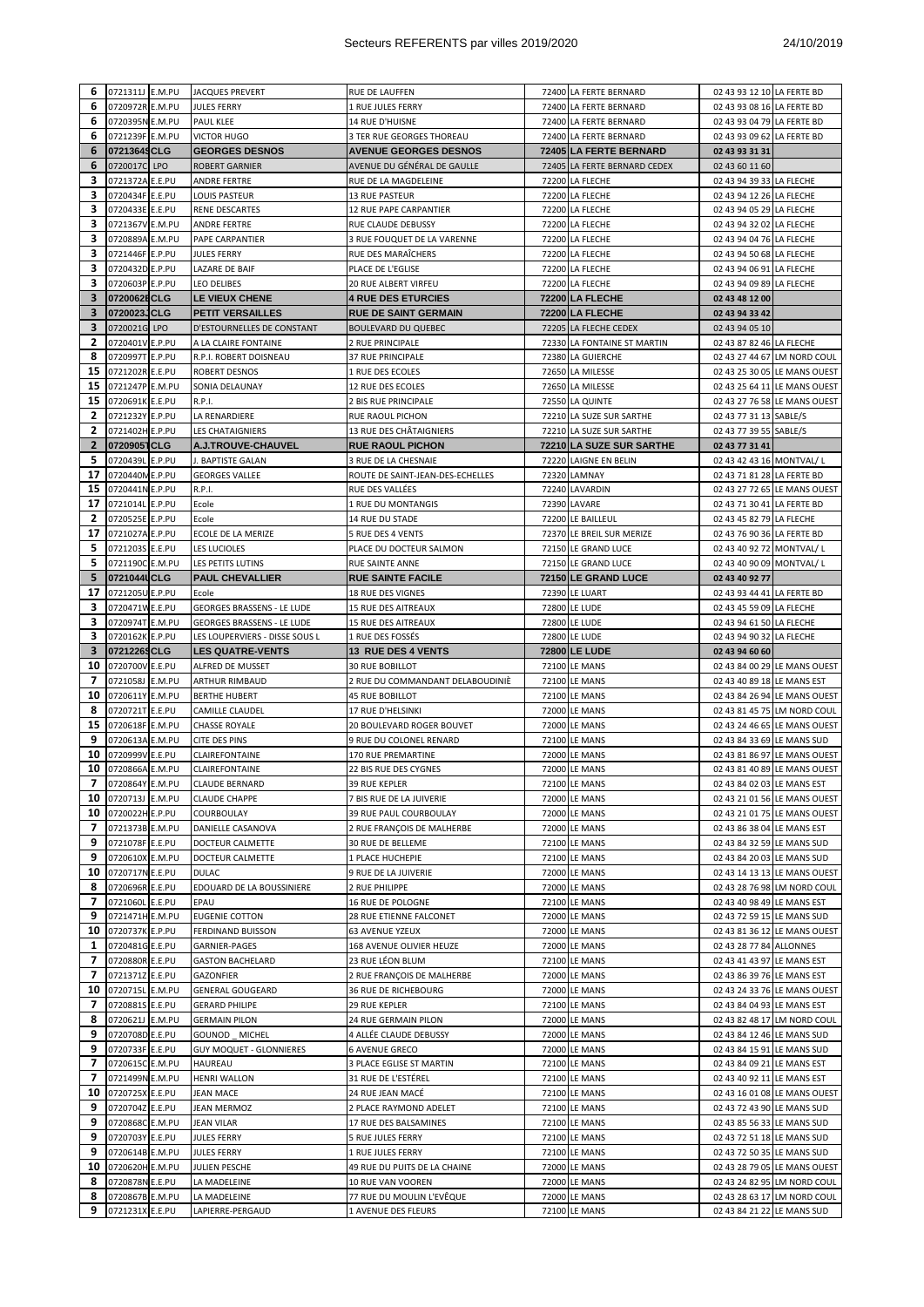| 6                       | 0721311J E.M.PU                    | <b>JACQUES PREVERT</b>                 | RUE DE LAUFFEN                                             | 72400 LA FERTE BERNARD                       | 02 43 93 12 10 LA FERTE BD                           |                                                             |
|-------------------------|------------------------------------|----------------------------------------|------------------------------------------------------------|----------------------------------------------|------------------------------------------------------|-------------------------------------------------------------|
| 6                       | 0720972R E.M.PU                    | <b>JULES FERRY</b>                     | 1 RUE JULES FERRY                                          | 72400 LA FERTE BERNARD                       | 02 43 93 08 16 LA FERTE BD                           |                                                             |
| 6                       | 0720395N E.M.PU                    | PAUL KLEE                              | 14 RUE D'HUISNE                                            | 72400 LA FERTE BERNARD                       | 02 43 93 04 79 LA FERTE BD                           |                                                             |
| 6                       | 0721239F E.M.PU                    | <b>VICTOR HUGO</b>                     | 3 TER RUE GEORGES THOREAU                                  | 72400 LA FERTE BERNARD                       | 02 43 93 09 62 LA FERTE BD                           |                                                             |
| 6                       | 07213649CLG                        | <b>GEORGES DESNOS</b>                  | <b>AVENUE GEORGES DESNOS</b>                               | 72405 LA FERTE BERNARD                       | 02 43 93 31 31                                       |                                                             |
| 6                       | 0720017C LPO                       | ROBERT GARNIER                         | AVENUE DU GÉNÉRAL DE GAULLE                                | 72405 LA FERTE BERNARD CEDEX                 | 02 43 60 11 60                                       |                                                             |
| 3                       | 0721372A E.E.PU                    | ANDRE FERTRE                           | RUE DE LA MAGDELEINE                                       | 72200 LA FLECHE                              | 02 43 94 39 33 LA FLECHE                             |                                                             |
| 3                       | 0720434F E.E.PU                    | LOUIS PASTEUR                          | <b>13 RUE PASTEUR</b>                                      | 72200 LA FLECHE                              | 02 43 94 12 26 LA FLECHE                             |                                                             |
| 3                       | 0720433E E.E.PU                    | RENE DESCARTES                         | 12 RUE PAPE CARPANTIER                                     | 72200 LA FLECHE                              | 02 43 94 05 29 LA FLECHE                             |                                                             |
| 3                       | 0721367V E.M.PU                    | ANDRE FERTRE                           | RUE CLAUDE DEBUSSY                                         | 72200 LA FLECHE                              | 02 43 94 32 02 LA FLECHE                             |                                                             |
| 3                       | 0720889A E.M.PU                    | PAPE CARPANTIER                        | 3 RUE FOUQUET DE LA VARENNE                                | 72200 LA FLECHE                              | 02 43 94 04 76 LA FLECHE                             |                                                             |
| 3                       | 0721446F E.P.PU                    | JULES FERRY                            | RUE DES MARAÏCHERS                                         | 72200 LA FLECHE                              | 02 43 94 50 68 LA FLECHE                             |                                                             |
| 3                       | 0720432D E.P.PU                    | LAZARE DE BAIF                         | PLACE DE L'EGLISE                                          | 72200 LA FLECHE                              | 02 43 94 06 91 LA FLECHE                             |                                                             |
| 3                       | 0720603P E.P.PU                    | <b>LEO DELIBES</b>                     | 20 RUE ALBERT VIRFEU                                       | 72200 LA FLECHE                              | 02 43 94 09 89 LA FLECHE                             |                                                             |
| 3                       | 0720062ECLG                        | <b>LE VIEUX CHENE</b>                  | <b>4 RUE DES ETURCIES</b>                                  | 72200 LA FLECHE                              | 02 43 48 12 00                                       |                                                             |
| 3                       | 0720023JCLG                        | <b>PETIT VERSAILLES</b>                | <b>RUE DE SAINT GERMAIN</b>                                | 72200 LA FLECHE                              | 02 43 94 33 42                                       |                                                             |
| 3                       | 0720021G LPO                       | D'ESTOURNELLES DE CONSTANT             | <b>BOULEVARD DU QUEBEC</b>                                 | 72205 LA FLECHE CEDEX                        | 02 43 94 05 10                                       |                                                             |
| 2                       | 0720401V E.P.PU                    | A LA CLAIRE FONTAINE                   | 2 RUE PRINCIPALE                                           | 72330 LA FONTAINE ST MARTIN                  | 02 43 87 82 46 LA FLECHE                             |                                                             |
| 8                       | 0720997T E.P.PU                    | R.P.I. ROBERT DOISNEAU                 |                                                            | 72380 LA GUIERCHE                            |                                                      | 02 43 27 44 67 LM NORD COUL                                 |
| 15                      |                                    | <b>ROBERT DESNOS</b>                   | 37 RUE PRINCIPALE<br>1 RUE DES ECOLES                      | 72650 LA MILESSE                             |                                                      |                                                             |
| 15                      | 0721202R E.E.PU                    |                                        |                                                            |                                              |                                                      | 02 43 25 30 05 LE MANS OUEST                                |
|                         | 0721247P E.M.PU                    | SONIA DELAUNAY                         | 12 RUE DES ECOLES                                          | 72650 LA MILESSE                             |                                                      | 02 43 25 64 11 LE MANS OUEST                                |
| 15                      | 0720691K E.E.PU                    | R.P.I.                                 | 2 BIS RUE PRINCIPALE                                       | 72550 LA QUINTE                              |                                                      | 02 43 27 76 58 LE MANS OUEST                                |
| $\overline{\mathbf{2}}$ | 0721232Y E.P.PU                    | LA RENARDIERE                          | RUE RAOUL PICHON                                           | 72210 LA SUZE SUR SARTHE                     | 02 43 77 31 13 SABLE/S                               |                                                             |
| 2                       | 0721402H E.P.PU                    | <b>LES CHATAIGNIERS</b>                | 13 RUE DES CHÂTAIGNIERS                                    | 72210 LA SUZE SUR SARTHE                     | 02 43 77 39 55 SABLE/S                               |                                                             |
| $\mathbf{2}$            | 07209051CLG                        | A.J.TROUVE-CHAUVEL                     | <b>RUE RAOUL PICHON</b>                                    | 72210 LA SUZE SUR SARTHE                     | 02 43 77 31 41                                       |                                                             |
| 5                       | 0720439L E.P.PU                    | J. BAPTISTE GALAN                      | 3 RUE DE LA CHESNAIE                                       | 72220 LAIGNE EN BELIN                        | 02 43 42 43 16 MONTVAL/L                             |                                                             |
| 17                      | 0720440M E.P.PU                    | <b>GEORGES VALLEE</b>                  | ROUTE DE SAINT-JEAN-DES-ECHELLES                           | 72320 LAMNAY                                 | 02 43 71 81 28 LA FERTE BD                           |                                                             |
| 15<br>17                | 0720441N E.P.PU                    | R.P.I.                                 | RUE DES VALLÉES                                            | 72240 LAVARDIN                               |                                                      | 02 43 27 72 65 LE MANS OUEST                                |
|                         | 0721014L E.P.PU                    | Ecole                                  | 1 RUE DU MONTANGIS                                         | 72390 LAVARE                                 | 02 43 71 30 41 LA FERTE BD                           |                                                             |
| 2                       | 0720525E E.P.PU                    | Ecole                                  | 14 RUE DU STADE                                            | 72200 LE BAILLEUL                            | 02 43 45 82 79 LA FLECHE                             |                                                             |
| 17                      | 0721027A E.P.PU                    | ECOLE DE LA MERIZE                     | 5 RUE DES 4 VENTS                                          | 72370 LE BREIL SUR MERIZE                    | 02 43 76 90 36 LA FERTE BD                           |                                                             |
| 5                       | 0721203S E.E.PU                    | LES LUCIOLES                           | PLACE DU DOCTEUR SALMON                                    | 72150 LE GRAND LUCE                          | 02 43 40 92 72 MONTVAL/L                             |                                                             |
| 5<br>5                  | 0721190C E.M.PU<br>0721044UCLG     | LES PETITS LUTINS                      | RUE SAINTE ANNE                                            | 72150 LE GRAND LUCE                          | 02 43 40 90 09 MONTVAL/L                             |                                                             |
| 17                      | 0721205U E.P.PU                    | <b>PAUL CHEVALLIER</b><br>Ecole        | <b>RUE SAINTE FACILE</b><br><b>18 RUE DES VIGNES</b>       | 72150 LE GRAND LUCE<br><b>72390 LE LUART</b> | 02 43 40 92 77<br>02 43 93 44 41 LA FERTE BD         |                                                             |
| 3                       | 0720471W E.E.PU                    | <b>GEORGES BRASSENS - LE LUDE</b>      | <b>15 RUE DES AITREAUX</b>                                 | 72800 LE LUDE                                |                                                      |                                                             |
| 3                       | 0720974T E.M.PU                    | <b>GEORGES BRASSENS - LE LUDE</b>      | <b>15 RUE DES AITREAUX</b>                                 | 72800 LE LUDE                                | 02 43 45 59 09 LA FLECHE<br>02 43 94 61 50 LA FLECHE |                                                             |
| 3                       | 0720162K E.P.PU                    | LES LOUPERVIERS - DISSE SOUS L         | 1 RUE DES FOSSÉS                                           | 72800 LE LUDE                                | 02 43 94 90 32 LA FLECHE                             |                                                             |
| 3                       | 07212269CLG                        | <b>LES QUATRE-VENTS</b>                | <b>13 RUE DES 4 VENTS</b>                                  | 72800 LE LUDE                                | 02 43 94 60 60                                       |                                                             |
|                         |                                    |                                        |                                                            |                                              |                                                      |                                                             |
|                         |                                    |                                        |                                                            |                                              |                                                      |                                                             |
| 10<br>7                 | 0720700V E.E.PU                    | ALFRED DE MUSSET                       | <b>30 RUE BOBILLOT</b>                                     | 72100 LE MANS                                |                                                      | 02 43 84 00 29 LE MANS OUEST                                |
| 10                      | 0721058J E.M.PU<br>0720611Y E.M.PU | ARTHUR RIMBAUD<br><b>BERTHE HUBERT</b> | 2 RUE DU COMMANDANT DELABOUDINIE<br><b>45 RUE BOBILLOT</b> | 72100 LE MANS<br>72100 LE MANS               | 02 43 40 89 18 LE MANS EST                           |                                                             |
| 8                       | 0720721T E.E.PU                    | CAMILLE CLAUDEL                        | 17 RUE D'HELSINKI                                          | 72000 LE MANS                                |                                                      | 02 43 84 26 94 LE MANS OUEST<br>02 43 81 45 75 LM NORD COUL |
| 15                      | 0720618F E.M.PU                    | CHASSE ROYALE                          | 20 BOULEVARD ROGER BOUVET                                  | 72000 LE MANS                                |                                                      | 02 43 24 46 65 LE MANS OUEST                                |
| 9                       | 0720613A E.M.PU                    | CITE DES PINS                          | 9 RUE DU COLONEL RENARD                                    | 72100 LE MANS                                | 02 43 84 33 69 LE MANS SUD                           |                                                             |
| 10                      | 0720999V E.E.PU                    | CLAIREFONTAINE                         | 170 RUE PREMARTINE                                         | 72000 LE MANS                                |                                                      | 02 43 81 86 97 LE MANS OUEST                                |
| 10                      | 0720866A E.M.PU                    | CLAIREFONTAINE                         | 22 BIS RUE DES CYGNES                                      | 72000 LE MANS                                |                                                      | 02 43 81 40 89 LE MANS OUEST                                |
| $\overline{7}$          | 0720864Y E.M.PU                    | <b>CLAUDE BERNARD</b>                  | 39 RUE KEPLER                                              | 72100 LE MANS                                | 02 43 84 02 03 LE MANS EST                           |                                                             |
| 10                      | 0720713J E.M.PU                    | <b>CLAUDE CHAPPE</b>                   | 7 BIS RUE DE LA JUIVERIE                                   | 72000 LE MANS                                |                                                      | 02 43 21 01 56 LE MANS OUEST                                |
|                         | 10 0720022H E.P.PU                 | COURBOULAY                             | 39 RUE PAUL COURBOULAY                                     | 72000 LE MANS                                |                                                      | 02 43 21 01 75 LE MANS OUEST                                |
| 7                       | 0721373B E.M.PU                    | DANIELLE CASANOVA                      | 2 RUE FRANÇOIS DE MALHERBE                                 | 72000 LE MANS                                | 02 43 86 38 04 LE MANS EST                           |                                                             |
| 9                       | 0721078F E.E.PU                    | DOCTEUR CALMETTE                       | 30 RUE DE BELLEME                                          | 72100 LE MANS                                | 02 43 84 32 59 LE MANS SUD                           |                                                             |
| 9                       | 0720610X E.M.PU                    | DOCTEUR CALMETTE                       | 1 PLACE HUCHEPIE                                           | 72100 LE MANS                                | 02 43 84 20 03 LE MANS SUD                           |                                                             |
| 10                      | 0720717N E.E.PU                    | DULAC                                  | 9 RUE DE LA JUIVERIE                                       | 72000 LE MANS                                |                                                      | 02 43 14 13 13 LE MANS OUEST                                |
| 8                       | 0720696R E.E.PU                    | EDOUARD DE LA BOUSSINIERE              | 2 RUE PHILIPPE                                             | 72000 LE MANS                                |                                                      | 02 43 28 76 98 LM NORD COUL                                 |
| 7                       | 0721060L E.E.PU                    | EPAU                                   | 16 RUE DE POLOGNE                                          | 72100 LE MANS                                | 02 43 40 98 49 LE MANS EST                           |                                                             |
| 9                       | 0721471H E.M.PU                    | <b>EUGENIE COTTON</b>                  | 28 RUE ETIENNE FALCONET                                    | 72000 LE MANS                                | 02 43 72 59 15 LE MANS SUD                           |                                                             |
| 10                      | 0720737K E.P.PU                    | FERDINAND BUISSON                      | <b>63 AVENUE YZEUX</b>                                     | 72000 LE MANS                                |                                                      | 02 43 81 36 12 LE MANS OUEST                                |
| 1                       | 0720481G E.E.PU                    | GARNIER-PAGES                          | 168 AVENUE OLIVIER HEUZE                                   | 72000 LE MANS                                | 02 43 28 77 84 ALLONNES                              |                                                             |
| 7                       | 0720880R E.E.PU                    | <b>GASTON BACHELARD</b>                | 23 RUE LÉON BLUM                                           | 72100 LE MANS                                | 02 43 41 43 97 LE MANS EST                           |                                                             |
| 7                       | 0721371Z E.E.PU                    | GAZONFIER                              | 2 RUE FRANÇOIS DE MALHERBE                                 | 72000 LE MANS                                | 02 43 86 39 76 LE MANS EST                           |                                                             |
| 10                      | 0720715L E.M.PU                    | <b>GENERAL GOUGEARD</b>                | 36 RUE DE RICHEBOURG                                       | 72000 LE MANS                                |                                                      | 02 43 24 33 76 LE MANS OUEST                                |
| 7                       | 0720881S E.E.PU                    | <b>GERARD PHILIPE</b>                  | 29 RUE KEPLER                                              | 72100 LE MANS                                | 02 43 84 04 93 LE MANS EST                           |                                                             |
| 8                       | 0720621J E.M.PU                    | <b>GERMAIN PILON</b>                   | 24 RUE GERMAIN PILON                                       | 72000 LE MANS                                |                                                      | 02 43 82 48 17 LM NORD COUL                                 |
| 9                       | 0720708D E.E.PU                    | GOUNOD MICHEL                          | 4 ALLÉE CLAUDE DEBUSSY                                     | 72000 LE MANS                                | 02 43 84 12 46 LE MANS SUD                           |                                                             |
| 9                       | 0720733F E.E.PU                    | <b>GUY MOQUET - GLONNIERES</b>         | <b>6 AVENUE GRECO</b>                                      | 72000 LE MANS                                | 02 43 84 15 91 LE MANS SUD                           |                                                             |
| 7                       | 0720615C E.M.PU                    | HAUREAU                                | 3 PLACE EGLISE ST MARTIN                                   | 72100 LE MANS                                | 02 43 84 09 21 LE MANS EST                           |                                                             |
| 7                       | 0721499N E.M.PU                    | HENRI WALLON                           | 31 RUE DE L'ESTÉREL                                        | 72100 LE MANS                                | 02 43 40 92 11 LE MANS EST                           |                                                             |
| 10                      | 0720725X E.E.PU                    | JEAN MACE                              | 24 RUE JEAN MACÉ                                           | 72100 LE MANS                                |                                                      | 02 43 16 01 08 LE MANS OUEST                                |
| 9                       | 0720704Z E.E.PU                    | JEAN MERMOZ                            | 2 PLACE RAYMOND ADELET                                     | 72100 LE MANS                                | 02 43 72 43 90 LE MANS SUD                           |                                                             |
| 9                       | 0720868C E.M.PU                    | JEAN VILAR                             | 17 RUE DES BALSAMINES                                      | 72100 LE MANS                                | 02 43 85 56 33 LE MANS SUD                           |                                                             |
| 9                       | 0720703Y E.E.PU                    | JULES FERRY                            | 5 RUE JULES FERRY                                          | 72100 LE MANS                                | 02 43 72 51 18 LE MANS SUD                           |                                                             |
| 9                       | 0720614B E.M.PU                    | <b>JULES FERRY</b>                     | 1 RUE JULES FERRY                                          | 72100 LE MANS                                | 02 43 72 50 35 LE MANS SUD                           |                                                             |
| 10                      | 0720620H E.M.PU                    | JULIEN PESCHE                          | 49 RUE DU PUITS DE LA CHAINE                               | 72000 LE MANS                                |                                                      | 02 43 28 79 05 LE MANS OUEST                                |
| 8                       | 0720878N E.E.PU                    | LA MADELEINE                           | 10 RUE VAN VOOREN                                          | 72000 LE MANS                                |                                                      | 02 43 24 82 95 LM NORD COUL                                 |
| 8<br>9                  | 0720867B E.M.PU<br>0721231X E.E.PU | LA MADELEINE<br>LAPIERRE-PERGAUD       | 77 RUE DU MOULIN L'EVÊQUE<br>1 AVENUE DES FLEURS           | 72000 LE MANS<br>72100 LE MANS               | 02 43 84 21 22 LE MANS SUD                           | 02 43 28 63 17 LM NORD COUL                                 |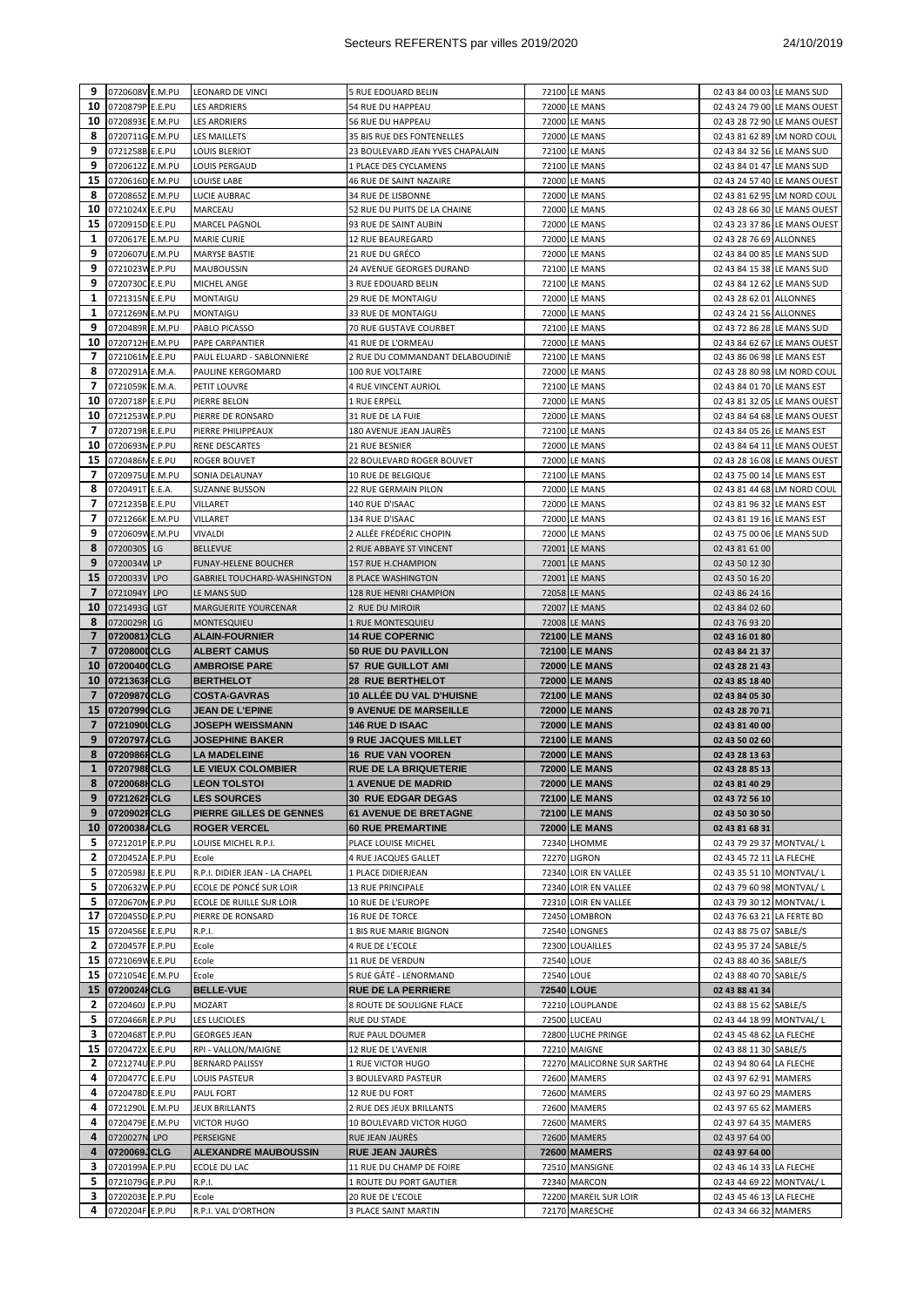| 9                       | 0720608V E.M.PU                    | LEONARD DE VINCI                   | 5 RUE EDOUARD BELIN              |            | 72100 LE MANS                           | 02 43 84 00 03 LE MANS SUD                        |                              |
|-------------------------|------------------------------------|------------------------------------|----------------------------------|------------|-----------------------------------------|---------------------------------------------------|------------------------------|
| 10                      | 0720879P E.E.PU                    | <b>LES ARDRIERS</b>                | 54 RUE DU HAPPEAU                |            | 72000 LE MANS                           |                                                   | 02 43 24 79 00 LE MANS OUEST |
| 10                      | 0720893E E.M.PU                    | LES ARDRIERS                       | 56 RUE DU HAPPEAU                |            | 72000 LE MANS                           |                                                   | 02 43 28 72 90 LE MANS OUEST |
| 8                       | 0720711G E.M.PU                    | LES MAILLETS                       | 35 BIS RUE DES FONTENELLES       |            | 72000 LE MANS                           |                                                   | 02 43 81 62 89 LM NORD COUL  |
| 9                       | 0721258B E.E.PU                    | LOUIS BLERIOT                      | 23 BOULEVARD JEAN YVES CHAPALAIN |            | 72100 LE MANS                           | 02 43 84 32 56 LE MANS SUD                        |                              |
| 9                       | 0720612Z E.M.PU                    | LOUIS PERGAUD                      | 1 PLACE DES CYCLAMENS            |            | 72100 LE MANS                           | 02 43 84 01 47 LE MANS SUD                        |                              |
| 15                      | 0720616D E.M.PU                    | <b>LOUISE LABE</b>                 | 46 RUE DE SAINT NAZAIRE          |            | 72000 LE MANS                           |                                                   | 02 43 24 57 40 LE MANS OUEST |
| 8                       | 0720865Z E.M.PU                    | LUCIE AUBRAC                       | 34 RUE DE LISBONNE               |            | 72000 LE MANS                           |                                                   | 02 43 81 62 95 LM NORD COUL  |
| 10                      | 0721024X E.E.PU                    | MARCEAU                            | 52 RUE DU PUITS DE LA CHAINE     |            | 72000 LE MANS                           |                                                   | 02 43 28 66 30 LE MANS OUEST |
| 15                      | 0720915D E.E.PU                    | MARCEL PAGNOL                      | 93 RUE DE SAINT AUBIN            |            | 72000 LE MANS                           |                                                   | 02 43 23 37 86 LE MANS OUEST |
| 1                       | 0720617E E.M.PU                    | <b>MARIE CURIE</b>                 | 12 RUE BEAUREGARD                |            | 72000 LE MANS                           | 02 43 28 76 69 ALLONNES                           |                              |
| 9                       | 0720607U E.M.PU                    | MARYSE BASTIE                      | 21 RUE DU GRÉCO                  |            | 72000 LE MANS                           | 02 43 84 00 85 LE MANS SUD                        |                              |
| 9                       | 0721023W E.P.PU                    | <b>MAUBOUSSIN</b>                  | 24 AVENUE GEORGES DURAND         |            | 72100 LE MANS                           | 02 43 84 15 38 LE MANS SUD                        |                              |
| 9                       | 0720730C E.E.PU                    | MICHEL ANGE                        | 3 RUE EDOUARD BELIN              |            | 72100 LE MANS                           | 02 43 84 12 62 LE MANS SUD                        |                              |
| 1                       | 0721315N E.E.PU                    | MONTAIGU                           | 29 RUE DE MONTAIGU               |            | 72000 LE MANS                           | 02 43 28 62 01 ALLONNES                           |                              |
| 1                       | 0721269N E.M.PU                    | <b>MONTAIGU</b>                    | 33 RUE DE MONTAIGU               |            | 72000 LE MANS                           | 02 43 24 21 56 ALLONNES                           |                              |
| 9                       | 0720489R E.M.PU                    | PABLO PICASSO                      | 70 RUE GUSTAVE COURBET           |            | 72100 LE MANS                           | 02 43 72 86 28 LE MANS SUD                        |                              |
| 10                      | 0720712H E.M.PU                    | PAPE CARPANTIER                    | 41 RUE DE L'ORMEAU               |            | 72000 LE MANS                           |                                                   | 02 43 84 62 67 LE MANS OUEST |
| 7                       | 0721061ME.E.PU                     | PAUL ELUARD - SABLONNIERE          | 2 RUE DU COMMANDANT DELABOUDINIE |            | 72100 LE MANS                           | 02 43 86 06 98 LE MANS EST                        |                              |
| 8                       | 0720291A E.M.A.                    | PAULINE KERGOMARD                  | 100 RUE VOLTAIRE                 |            | 72000 LE MANS                           |                                                   | 02 43 28 80 98 LM NORD COUL  |
| 7                       | 0721059K E.M.A.                    | PETIT LOUVRE                       | 4 RUE VINCENT AURIOL             |            | 72100 LE MANS                           | 02 43 84 01 70 LE MANS EST                        |                              |
| 10                      | 0720718P E.E.PU                    | PIERRE BELON                       | 1 RUE ERPELL                     |            | 72000 LE MANS                           |                                                   | 02 43 81 32 05 LE MANS OUEST |
| 10                      | 0721253W E.P.PU                    | PIERRE DE RONSARD                  | 31 RUE DE LA FUIE                |            | 72000 LE MANS                           |                                                   | 02 43 84 64 68 LE MANS OUEST |
| 7                       | 0720719R E.E.PU                    | PIERRE PHILIPPEAUX                 | 180 AVENUE JEAN JAURÉS           |            | 72100 LE MANS                           | 02 43 84 05 26 LE MANS EST                        |                              |
| 10                      | 0720693M E.P.PU                    | RENE DESCARTES                     | <b>21 RUE BESNIER</b>            |            | 72000 LE MANS                           |                                                   | 02 43 84 64 11 LE MANS OUEST |
| 15                      | 0720486M E.E.PU                    | ROGER BOUVET                       | 22 BOULEVARD ROGER BOUVET        |            | 72000 LE MANS                           |                                                   | 02 43 28 16 08 LE MANS OUEST |
| 7                       | 0720975U E.M.PU                    | SONIA DELAUNAY                     | 10 RUE DE BELGIQUE               |            | 72100 LE MANS                           | 02 43 75 00 14 LE MANS EST                        |                              |
| 8                       | 0720491T E.E.A.                    | <b>SUZANNE BUSSON</b>              | 22 RUE GERMAIN PILON             |            | 72000 LE MANS                           |                                                   | 02 43 81 44 68 LM NORD COUL  |
| 7                       | 0721235B E.E.PU                    | VILLARET                           | 140 RUE D'ISAAC                  |            | 72000 LE MANS                           | 02 43 81 96 32 LE MANS EST                        |                              |
| 7                       | 0721266K E.M.PU                    | VILLARET                           | 134 RUE D'ISAAC                  |            | 72000 LE MANS                           | 02 43 81 19 16 LE MANS EST                        |                              |
| 9                       | 0720609W E.M.PU                    | <b>VIVALDI</b>                     | 2 ALLÉE FRÉDÉRIC CHOPIN          |            | 72000 LE MANS                           | 02 43 75 00 06 LE MANS SUD                        |                              |
| 8                       | 0720030S LG                        |                                    |                                  |            |                                         |                                                   |                              |
| 9                       |                                    | <b>BELLEVUE</b>                    | 2 RUE ABBAYE ST VINCENT          |            | 72001 LE MANS                           | 02 43 81 61 00                                    |                              |
|                         | 0720034W LP                        | <b>FUNAY-HELENE BOUCHER</b>        | 157 RUE H.CHAMPION               |            | 72001 LE MANS                           | 02 43 50 12 30                                    |                              |
| 15                      | 0720033V LPO                       | <b>GABRIEL TOUCHARD-WASHINGTON</b> | <b>8 PLACE WASHINGTON</b>        |            | 72001 LE MANS                           | 02 43 50 16 20                                    |                              |
| 7                       | 0721094Y LPO                       | LE MANS SUD                        | 128 RUE HENRI CHAMPION           |            | 72058 LE MANS                           | 02 43 86 24 16                                    |                              |
| 10                      | 0721493G LGT                       | MARGUERITE YOURCENAR               | 2 RUE DU MIROIR                  |            | 72007 LE MANS                           | 02 43 84 02 60                                    |                              |
| 8                       | 0720029R LG                        | <b>MONTESQUIEU</b>                 | 1 RUE MONTESQUIEU                |            | 72008 LE MANS                           | 02 43 76 93 20                                    |                              |
| $\overline{\mathbf{z}}$ | 0720081XCLG                        | <b>ALAIN-FOURNIER</b>              | <b>14 RUE COPERNIC</b>           |            | <b>72100 LE MANS</b>                    | 02 43 16 01 80                                    |                              |
|                         |                                    |                                    |                                  |            |                                         |                                                   |                              |
| $\overline{7}$          | 07208000CLG                        | <b>ALBERT CAMUS</b>                | 50 RUE DU PAVILLON               |            | <b>72100 LE MANS</b>                    | 02 43 84 21 37                                    |                              |
| 10                      | 07200400CLG                        | <b>AMBROISE PARE</b>               | 57 RUE GUILLOT AMI               |            | <b>72000 LE MANS</b>                    | 02 43 28 21 43                                    |                              |
| 10                      | 0721363FCLG                        | <b>BERTHELOT</b>                   | <b>28 RUE BERTHELOT</b>          |            | <b>72000 LE MANS</b>                    | 02 43 85 18 40                                    |                              |
| $\overline{ }$          | 07209870CLG                        | <b>COSTA-GAVRAS</b>                | 10 ALLÉE DU VAL D'HUISNE         |            | <b>72100 LE MANS</b>                    | 02 43 84 05 30                                    |                              |
| 15                      | 07207990CLG                        | <b>JEAN DE L'EPINE</b>             | <b>9 AVENUE DE MARSEILLE</b>     |            | <b>72000 LE MANS</b>                    | 02 43 28 70 71                                    |                              |
| $\overline{7}$          | 0721090UCLG                        | <b>JOSEPH WEISSMANN</b>            | <b>146 RUE D ISAAC</b>           |            | <b>72000 LE MANS</b>                    | 02 43 81 40 00                                    |                              |
| 9                       | 0720797ACLG                        | <b>JOSEPHINE BAKER</b>             | <b>9 RUE JACQUES MILLET</b>      |            | <b>72100 LE MANS</b>                    | 02 43 50 02 60                                    |                              |
| 8                       | 0720986ICLG                        | <b>LA MADELEINE</b>                | <b>16 RUE VAN VOOREN</b>         |            | <b>72000 LE MANS</b>                    | 02 43 28 13 63                                    |                              |
| $\mathbf{1}$            | 0720798ECLG                        | LE VIEUX COLOMBIER                 | RUE DE LA BRIQUETERIE            |            | <b>72000 LE MANS</b>                    | 02 43 28 85 13                                    |                              |
|                         | 8 0720068 CLG                      | <b>LEON TOLSTOI</b>                | <b>1 AVENUE DE MADRID</b>        |            | 72000 LE MANS                           | 02 43 81 40 29                                    |                              |
| 9                       | 0721262FCLG                        | <b>LES SOURCES</b>                 | <b>30 RUE EDGAR DEGAS</b>        |            | <b>72100 LE MANS</b>                    | 02 43 72 56 10                                    |                              |
| 9                       | 0720902FCLG                        | PIERRE GILLES DE GENNES            | <b>61 AVENUE DE BRETAGNE</b>     |            | <b>72100 LE MANS</b>                    | 02 43 50 30 50                                    |                              |
| 10                      | 0720038ACLG                        | <b>ROGER VERCEL</b>                | <b>60 RUE PREMARTINE</b>         |            | <b>72000 LE MANS</b>                    | 02 43 81 68 31                                    |                              |
| 5                       | 0721201P E.P.PU                    | LOUISE MICHEL R.P.I.               | PLACE LOUISE MICHEL              |            | 72340 LHOMME                            | 02 43 79 29 37 MONTVAL/L                          |                              |
| 2                       | 0720452A E.P.PU                    | Ecole                              | 4 RUE JACQUES GALLET             |            | 72270 LIGRON                            | 02 43 45 72 11 LA FLECHE                          |                              |
| 5                       | 0720598J E.E.PU                    | R.P.I. DIDIER JEAN - LA CHAPEL     | 1 PLACE DIDIERJEAN               |            | 72340 LOIR EN VALLEE                    | 02 43 35 51 10 MONTVAL/L                          |                              |
| 5                       | 0720632W E.P.PU                    | ECOLE DE PONCÉ SUR LOIR            | 13 RUE PRINCIPALE                |            | 72340 LOIR EN VALLEE                    | 02 43 79 60 98 MONTVAL/L                          |                              |
| 5                       | 0720670M E.P.PU                    | ECOLE DE RUILLE SUR LOIR           | 10 RUE DE L'EUROPE               |            | 72310 LOIR EN VALLEE                    | 02 43 79 30 12 MONTVAL/L                          |                              |
| 17                      | 0720455D E.P.PU                    | PIERRE DE RONSARD                  | 16 RUE DE TORCE                  |            | 72450 LOMBRON                           | 02 43 76 63 21 LA FERTE BD                        |                              |
| 15                      | 0720456E E.E.PU                    | R.P.I.                             | 1 BIS RUE MARIE BIGNON           |            | 72540 LONGNES                           | 02 43 88 75 07 SABLE/S                            |                              |
| 2                       | 0720457F E.P.PU                    | Ecole                              | 4 RUE DE L'ECOLE                 |            | 72300 LOUAILLES                         | 02 43 95 37 24 SABLE/S                            |                              |
| 15                      | 0721069W E.E.PU                    | Ecole                              | 11 RUE DE VERDUN                 | 72540 LOUE |                                         | 02 43 88 40 36 SABLE/S                            |                              |
| 15                      | 0721054E E.M.PU                    | Ecole                              | 5 RUE GÂTÉ - LENORMAND           | 72540 LOUE |                                         | 02 43 88 40 70 SABLE/S                            |                              |
| 15                      | 0720024HCLG                        | <b>BELLE-VUE</b>                   | <b>RUE DE LA PERRIERE</b>        |            | 72540 LOUE                              | 02 43 88 41 34                                    |                              |
| 2                       | 0720460J E.P.PU                    | MOZART                             | 8 ROUTE DE SOULIGNE FLACE        |            | 72210 LOUPLANDE                         | 02 43 88 15 62 SABLE/S                            |                              |
| 5                       | 0720466R E.P.PU                    | LES LUCIOLES                       | RUE DU STADE                     |            | 72500 LUCEAU                            | 02 43 44 18 99 MONTVAL/ L                         |                              |
| 3                       | 0720468T E.P.PU                    | <b>GEORGES JEAN</b>                | RUE PAUL DOUMER                  |            | 72800 LUCHE PRINGE                      | 02 43 45 48 62 LA FLECHE                          |                              |
| 15                      | 0720472X E.E.PU                    | RPI - VALLON/MAIGNE                | 12 RUE DE L'AVENIR               |            | <b>72210 MAIGNE</b>                     | 02 43 88 11 30 SABLE/S                            |                              |
| 2                       | 0721274U E.P.PU                    | <b>BERNARD PALISSY</b>             | 1 RUE VICTOR HUGO                |            | 72270 MALICORNE SUR SARTHE              | 02 43 94 80 64 LA FLECHE                          |                              |
| 4                       | 0720477C E.E.PU                    | LOUIS PASTEUR                      | 3 BOULEVARD PASTEUR              |            | 72600 MAMERS                            | 02 43 97 62 91 MAMERS                             |                              |
| 4                       | 0720478D E.E.PU                    | PAUL FORT                          | 12 RUE DU FORT                   |            | 72600 MAMERS                            | 02 43 97 60 29 MAMERS                             |                              |
| 4                       | 0721290L E.M.PU                    | JEUX BRILLANTS                     | 2 RUE DES JEUX BRILLANTS         |            | 72600 MAMERS                            | 02 43 97 65 62 MAMERS                             |                              |
| 4                       | 0720479E E.M.PU                    | <b>VICTOR HUGO</b>                 | 10 BOULEVARD VICTOR HUGO         |            | 72600 MAMERS                            | 02 43 97 64 35 MAMERS                             |                              |
| 4                       | 0720027N LPO                       | PERSEIGNE                          | RUE JEAN JAURÈS                  |            | 72600 MAMERS                            | 02 43 97 64 00                                    |                              |
| 4                       | 0720069JCLG                        | <b>ALEXANDRE MAUBOUSSIN</b>        | <b>RUE JEAN JAURES</b>           |            | <b>72600 MAMERS</b>                     | 02 43 97 64 00                                    |                              |
| 3                       | 0720199A E.P.PU                    | ECOLE DU LAC                       | 11 RUE DU CHAMP DE FOIRE         |            | 72510 MANSIGNE                          | 02 43 46 14 33 LA FLECHE                          |                              |
| 5                       | 0721079G E.P.PU                    | R.P.I.                             | 1 ROUTE DU PORT GAUTIER          |            | 72340 MARCON                            | 02 43 44 69 22 MONTVAL/L                          |                              |
| 3<br>4                  | 0720203E E.P.PU<br>0720204F E.P.PU | Ecole                              | 20 RUE DE L'ECOLE                |            | 72200 MAREIL SUR LOIR<br>72170 MARESCHE | 02 43 45 46 13 LA FLECHE<br>02 43 34 66 32 MAMERS |                              |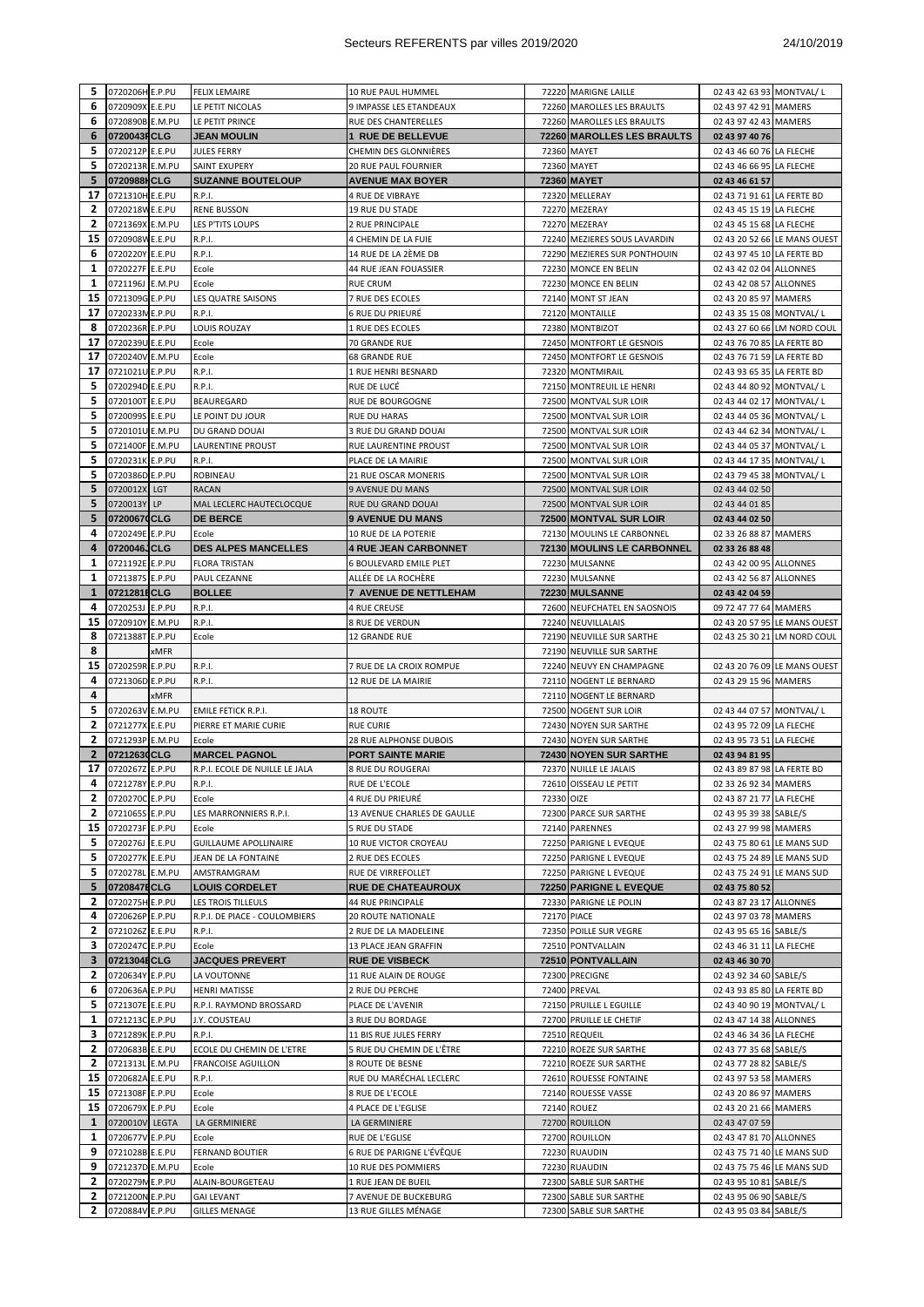| 5              | 0720206H E.P.PU    |      | <b>FELIX LEMAIRE</b>           | 10 RUE PAUL HUMMEL           |                    | 72220 MARIGNE LAILLE                                   | 02 43 42 63 93 MONTVAL/L   |                              |
|----------------|--------------------|------|--------------------------------|------------------------------|--------------------|--------------------------------------------------------|----------------------------|------------------------------|
| 6              | 0720909X E.E.PU    |      | LE PETIT NICOLAS               | 9 IMPASSE LES ETANDEAUX      |                    | 72260 MAROLLES LES BRAULTS                             | 02 43 97 42 91 MAMERS      |                              |
| 6              | 0720890B E.M.PU    |      | LE PETIT PRINCE                | RUE DES CHANTERELLES         |                    | 72260 MAROLLES LES BRAULTS                             | 02 43 97 42 43 MAMERS      |                              |
| 6              | 0720043FCLG        |      | JEAN MOULIN                    | <b>1 RUE DE BELLEVUE</b>     |                    | 72260 MAROLLES LES BRAULTS                             | 02 43 97 40 76             |                              |
| 5              | 0720212P E.E.PU    |      | <b>JULES FERRY</b>             | CHEMIN DES GLONNIÈRES        |                    | 72360 MAYET                                            | 02 43 46 60 76 LA FLECHE   |                              |
| 5              | 0720213R E.M.PU    |      | SAINT EXUPERY                  | <b>20 RUE PAUL FOURNIER</b>  |                    | 72360 MAYET                                            | 02 43 46 66 95 LA FLECHE   |                              |
| 5              | 0720988HCLG        |      | <b>SUZANNE BOUTELOUP</b>       | <b>AVENUE MAX BOYER</b>      |                    | 72360 MAYET                                            | 02 43 46 61 57             |                              |
| 17             | 0721310H E.E.PU    |      | R.P.I.                         | 4 RUE DE VIBRAYE             |                    | 72320 MELLERAY                                         | 02 43 71 91 61 LA FERTE BD |                              |
| 2              | 0720218W E.E.PU    |      | <b>RENE BUSSON</b>             | 19 RUE DU STADE              |                    | 72270 MEZERAY                                          | 02 43 45 15 19 LA FLECHE   |                              |
| 2              | 0721369X E.M.PU    |      | LES P'TITS LOUPS               | 2 RUE PRINCIPALE             |                    | 72270 MEZERAY                                          | 02 43 45 15 68 LA FLECHE   |                              |
| 15             | 0720908W E.E.PU    |      | R.P.I.                         | 4 CHEMIN DE LA FUIE          |                    | 72240 MEZIERES SOUS LAVARDIN                           |                            | 02 43 20 52 66 LE MANS OUEST |
| 6              | 0720220Y E.E.PU    |      | R.P.I.                         | 14 RUE DE LA 2ÈME DB         |                    | 72290 MEZIERES SUR PONTHOUIN                           | 02 43 97 45 10 LA FERTE BD |                              |
| 1              | 0720227F E.E.PU    |      | Ecole                          | 44 RUE JEAN FOUASSIER        |                    | 72230 MONCE EN BELIN                                   | 02 43 42 02 04 ALLONNES    |                              |
| 1              | 0721196J E.M.PU    |      | Ecole                          | <b>RUE CRUM</b>              |                    | 72230 MONCE EN BELIN                                   | 02 43 42 08 57 ALLONNES    |                              |
| 15             | 0721309G E.P.PU    |      | LES QUATRE SAISONS             | 7 RUE DES ECOLES             |                    | 72140 MONT ST JEAN                                     | 02 43 20 85 97 MAMERS      |                              |
| 17             | 0720233M E.P.PU    |      | R.P.I.                         | 6 RUE DU PRIEURÉ             |                    | 72120 MONTAILLE                                        | 02 43 35 15 08 MONTVAL/L   |                              |
| 8              | 0720236R E.P.PU    |      | LOUIS ROUZAY                   | 1 RUE DES ECOLES             |                    | 72380 MONTBIZOT                                        |                            | 02 43 27 60 66 LM NORD COUL  |
| 17             | 0720239U E.E.PU    |      | Ecole                          | 70 GRANDE RUE                |                    | 72450 MONTFORT LE GESNOIS                              | 02 43 76 70 85 LA FERTE BD |                              |
| 17             | 0720240V E.M.PU    |      | Ecole                          | 68 GRANDE RUE                |                    | 72450 MONTFORT LE GESNOIS                              | 02 43 76 71 59 LA FERTE BD |                              |
| 17             | 0721021U E.P.PU    |      | R.P.I.                         | 1 RUE HENRI BESNARD          |                    | 72320 MONTMIRAIL                                       | 02 43 93 65 35 LA FERTE BD |                              |
| 5              | 0720294D E.E.PU    |      | R.P.I.                         | RUE DE LUCÉ                  |                    | 72150 MONTREUIL LE HENRI                               | 02 43 44 80 92 MONTVAL/L   |                              |
| 5              | 0720100T E.E.PU    |      | BEAUREGARD                     | RUE DE BOURGOGNE             |                    | 72500 MONTVAL SUR LOIR                                 | 02 43 44 02 17 MONTVAL/L   |                              |
| 5              | 0720099S E.E.PU    |      | LE POINT DU JOUR               | <b>RUE DU HARAS</b>          |                    | 72500 MONTVAL SUR LOIR                                 | 02 43 44 05 36 MONTVAL/L   |                              |
| 5              | 0720101U E.M.PU    |      | DU GRAND DOUAI                 | 3 RUE DU GRAND DOUAI         |                    | 72500 MONTVAL SUR LOIR                                 | 02 43 44 62 34 MONTVAL/L   |                              |
| 5              | 0721400F E.M.PU    |      | LAURENTINE PROUST              | RUE LAURENTINE PROUST        |                    | 72500 MONTVAL SUR LOIR                                 | 02 43 44 05 37 MONTVAL/L   |                              |
| 5              | 0720231K E.P.PU    |      | R.P.I.                         | PLACE DE LA MAIRIE           |                    | 72500 MONTVAL SUR LOIR                                 | 02 43 44 17 35 MONTVAL/L   |                              |
| 5              | 0720386D E.P.PU    |      | <b>ROBINEAU</b>                | 21 RUE OSCAR MONERIS         |                    | 72500 MONTVAL SUR LOIR                                 | 02 43 79 45 38 MONTVAL/L   |                              |
| 5              | 0720012X LGT       |      | <b>RACAN</b>                   | 9 AVENUE DU MANS             |                    | 72500 MONTVAL SUR LOIR                                 | 02 43 44 02 50             |                              |
| 5              | 0720013Y LP        |      | MAL LECLERC HAUTECLOCQUE       | RUE DU GRAND DOUAI           |                    | 72500 MONTVAL SUR LOIR                                 | 02 43 44 01 85             |                              |
| 5              | 07200670CLG        |      | <b>DE BERCE</b>                | <b>9 AVENUE DU MANS</b>      |                    | 72500 MONTVAL SUR LOIR                                 | 02 43 44 02 50             |                              |
| 4              | 0720249E E.P.PU    |      | Ecole                          | 10 RUE DE LA POTERIE         |                    | 72130 MOULINS LE CARBONNEL                             | 02 33 26 88 87 MAMERS      |                              |
| 4              | 0720046JCLG        |      | <b>DES ALPES MANCELLES</b>     | <b>4 RUE JEAN CARBONNET</b>  |                    | 72130 MOULINS LE CARBONNEL                             | 02 33 26 88 48             |                              |
| 1              | 0721192E E.P.PU    |      | <b>FLORA TRISTAN</b>           | 6 BOULEVARD EMILE PLET       |                    | 72230 MULSANNE                                         | 02 43 42 00 95 ALLONNES    |                              |
| 1              | 0721387S E.P.PU    |      | PAUL CEZANNE                   | ALLÉE DE LA ROCHÈRE          |                    | 72230 MULSANNE                                         | 02 43 42 56 87 ALLONNES    |                              |
| $\mathbf{1}$   | 0721281ECLG        |      | <b>BOLLEE</b>                  | <b>7 AVENUE DE NETTLEHAM</b> |                    | 72230 MULSANNE                                         | 02 43 42 04 59             |                              |
| 4              | 0720253J E.P.PU    |      | R.P.I.                         | <b>4 RUE CREUSE</b>          |                    | 72600 NEUFCHATEL EN SAOSNOIS                           | 09 72 47 77 64 MAMERS      |                              |
| 15             | 0720910Y E.M.PU    |      |                                | 8 RUE DE VERDUN              |                    | 72240 NEUVILLALAIS                                     |                            | 02 43 20 57 95 LE MANS OUEST |
| 8              | 0721388T E.P.PU    |      | R.P.I.                         | 12 GRANDE RUE                |                    |                                                        |                            |                              |
| 8              |                    | xMFR | Ecole                          |                              |                    | 72190 NEUVILLE SUR SARTHE<br>72190 NEUVILLE SUR SARTHE |                            | 02 43 25 30 21 LM NORD COUL  |
|                |                    |      |                                |                              |                    |                                                        |                            |                              |
|                |                    |      |                                |                              |                    |                                                        |                            |                              |
| 15             | 0720259R E.P.PU    |      | R.P.I.                         | 7 RUE DE LA CROIX ROMPUE     |                    | 72240 NEUVY EN CHAMPAGNE                               |                            | 02 43 20 76 09 LE MANS OUEST |
| 4              | 0721306D E.P.PU    |      | R.P.I.                         | 12 RUE DE LA MAIRIE          |                    | 72110 NOGENT LE BERNARD                                | 02 43 29 15 96 MAMERS      |                              |
| 4              |                    | xMFR |                                |                              |                    | 72110 NOGENT LE BERNARD                                |                            |                              |
| 5              | 0720263V E.M.PU    |      | <b>EMILE FETICK R.P.I.</b>     | 18 ROUTE                     |                    | 72500 NOGENT SUR LOIR                                  | 02 43 44 07 57 MONTVAL/L   |                              |
| 2              | 0721277X E.E.PU    |      | PIERRE ET MARIE CURIE          | <b>RUE CURIE</b>             |                    | 72430 NOYEN SUR SARTHE                                 | 02 43 95 72 09 LA FLECHE   |                              |
| $\overline{2}$ | 0721293P E.M.PU    |      | Ecole                          | 28 RUE ALPHONSE DUBOIS       |                    | 72430 NOYEN SUR SARTHE                                 | 02 43 95 73 51 LA FLECHE   |                              |
| $\overline{2}$ | 07212630CLG        |      | <b>MARCEL PAGNOL</b>           | <b>PORT SAINTE MARIE</b>     |                    | 72430 NOYEN SUR SARTHE                                 | 02 43 94 81 95             |                              |
| 17             | 0720267Z E.P.PU    |      | R.P.I. ECOLE DE NUILLE LE JALA | 8 RUE DU ROUGERAI            |                    | 72370 NUILLE LE JALAIS                                 | 02 43 89 87 98 LA FERTE BD |                              |
|                | 4 0721278Y E.P.PU  |      | R.P.I.                         | RUE DE L'ECOLE               |                    | 72610 OISSEAU LE PETIT                                 | 02 33 26 92 34 MAMERS      |                              |
| 2              | 0720270C E.P.PU    |      | Ecole                          | 4 RUE DU PRIEURÉ             | 72330 OIZE         |                                                        | 02 43 87 21 77 LA FLECHE   |                              |
| 2              | 0721065S E.P.PU    |      | LES MARRONNIERS R.P.I.         | 13 AVENUE CHARLES DE GAULLE  |                    | 72300 PARCE SUR SARTHE                                 | 02 43 95 39 38 SABLE/S     |                              |
|                | 15 0720273F E.P.PU |      | Ecole                          | 5 RUE DU STADE               |                    | 72140 PARENNES                                         | 02 43 27 99 98 MAMERS      |                              |
| 5              | 0720276J E.E.PU    |      | <b>GUILLAUME APOLLINAIRE</b>   | 10 RUE VICTOR CROYEAU        |                    | 72250 PARIGNE L EVEQUE                                 | 02 43 75 80 61 LE MANS SUD |                              |
| 5              | 0720277K E.E.PU    |      | JEAN DE LA FONTAINE            | 2 RUE DES ECOLES             |                    | 72250 PARIGNE L EVEQUE                                 | 02 43 75 24 89 LE MANS SUD |                              |
| 5              | 0720278L E.M.PU    |      | AMSTRAMGRAM                    | RUE DE VIRREFOLLET           |                    | 72250 PARIGNE L EVEQUE                                 | 02 43 75 24 91 LE MANS SUD |                              |
| 5              | 0720847ECLG        |      | <b>LOUIS CORDELET</b>          | RUE DE CHATEAUROUX           |                    | 72250 PARIGNE L EVEQUE                                 | 02 43 75 80 52             |                              |
| 2              | 0720275H E.P.PU    |      | LES TROIS TILLEULS             | 44 RUE PRINCIPALE            |                    | 72330 PARIGNE LE POLIN                                 | 02 43 87 23 17 ALLONNES    |                              |
| 4              | 0720626P E.P.PU    |      | R.P.I. DE PIACE - COULOMBIERS  | 20 ROUTE NATIONALE           | <b>72170 PIACE</b> |                                                        | 02 43 97 03 78 MAMERS      |                              |
| 2              | 0721026Z E.E.PU    |      | R.P.I.                         | 2 RUE DE LA MADELEINE        |                    | 72350 POILLE SUR VEGRE                                 | 02 43 95 65 16 SABLE/S     |                              |
| 3              | 0720247C E.P.PU    |      | Ecole                          | 13 PLACE JEAN GRAFFIN        |                    | 72510 PONTVALLAIN                                      | 02 43 46 31 11 LA FLECHE   |                              |
| 3              | 0721304ECLG        |      | <b>JACQUES PREVERT</b>         | <b>RUE DE VISBECK</b>        |                    | 72510 PONTVALLAIN                                      | 02 43 46 30 70             |                              |
| 2              | 0720634Y E.P.PU    |      | LA VOUTONNE                    | 11 RUE ALAIN DE ROUGE        |                    | 72300 PRECIGNE                                         | 02 43 92 34 60 SABLE/S     |                              |
| 6              | 0720636A E.P.PU    |      | <b>HENRI MATISSE</b>           | 2 RUE DU PERCHE              |                    | 72400 PREVAL                                           | 02 43 93 85 80 LA FERTE BD |                              |
| 5              | 0721307E E.E.PU    |      | R.P.I. RAYMOND BROSSARD        | PLACE DE L'AVENIR            |                    | 72150 PRUILLE L EGUILLE                                | 02 43 40 90 19 MONTVAL/ L  |                              |
| 1              | 0721213C E.P.PU    |      | J.Y. COUSTEAU                  | 3 RUE DU BORDAGE             |                    | 72700 PRUILLE LE CHETIF                                | 02 43 47 14 38 ALLONNES    |                              |
| 3              | 0721289K E.P.PU    |      | R.P.I.                         | 11 BIS RUE JULES FERRY       |                    | 72510 REQUEIL                                          | 02 43 46 34 36 LA FLECHE   |                              |
| 2              | 0720683B E.E.PU    |      | ECOLE DU CHEMIN DE L'ETRE      | 5 RUE DU CHEMIN DE L'ÊTRE    |                    | 72210 ROEZE SUR SARTHE                                 | 02 43 77 35 68 SABLE/S     |                              |
| $\overline{2}$ | 0721313L E.M.PU    |      | FRANCOISE AGUILLON             | 8 ROUTE DE BESNE             |                    | 72210 ROEZE SUR SARTHE                                 | 02 43 77 28 82 SABLE/S     |                              |
| 15             | 0720682A E.E.PU    |      | R.P.I.                         | RUE DU MARÉCHAL LECLERC      |                    | 72610 ROUESSE FONTAINE                                 | 02 43 97 53 58 MAMERS      |                              |
| 15             | 0721308F E.P.PU    |      | Ecole                          | 8 RUE DE L'ECOLE             |                    | 72140 ROUESSE VASSE                                    | 02 43 20 86 97 MAMERS      |                              |
| 15             | 0720679X E.P.PU    |      | Ecole                          | 4 PLACE DE L'EGLISE          |                    | 72140 ROUEZ                                            | 02 43 20 21 66 MAMERS      |                              |
| 1              | 0720010V LEGTA     |      | LA GERMINIERE                  | LA GERMINIERE                |                    | 72700 ROUILLON                                         | 02 43 47 07 59             |                              |
| 1              | 0720677V E.P.PU    |      | Ecole                          | RUE DE L'EGLISE              |                    | 72700 ROUILLON                                         | 02 43 47 81 70 ALLONNES    |                              |
| 9              | 0721028B E.E.PU    |      | FERNAND BOUTIER                | 6 RUE DE PARIGNE L'ÉVÊQUE    |                    | 72230 RUAUDIN                                          | 02 43 75 71 40 LE MANS SUD |                              |
| 9              | 0721237D E.M.PU    |      | Ecole                          | 10 RUE DES POMMIERS          |                    | 72230 RUAUDIN                                          | 02 43 75 75 46 LE MANS SUD |                              |
| 2              | 0720279ME.P.PU     |      | ALAIN-BOURGETEAU               | 1 RUE JEAN DE BUEIL          |                    | 72300 SABLE SUR SARTHE                                 | 02 43 95 10 81 SABLE/S     |                              |
| $\mathbf{2}$   | 0721200N E.P.PU    |      | <b>GAI LEVANT</b>              | 7 AVENUE DE BUCKEBURG        |                    | 72300 SABLE SUR SARTHE                                 | 02 43 95 06 90 SABLE/S     |                              |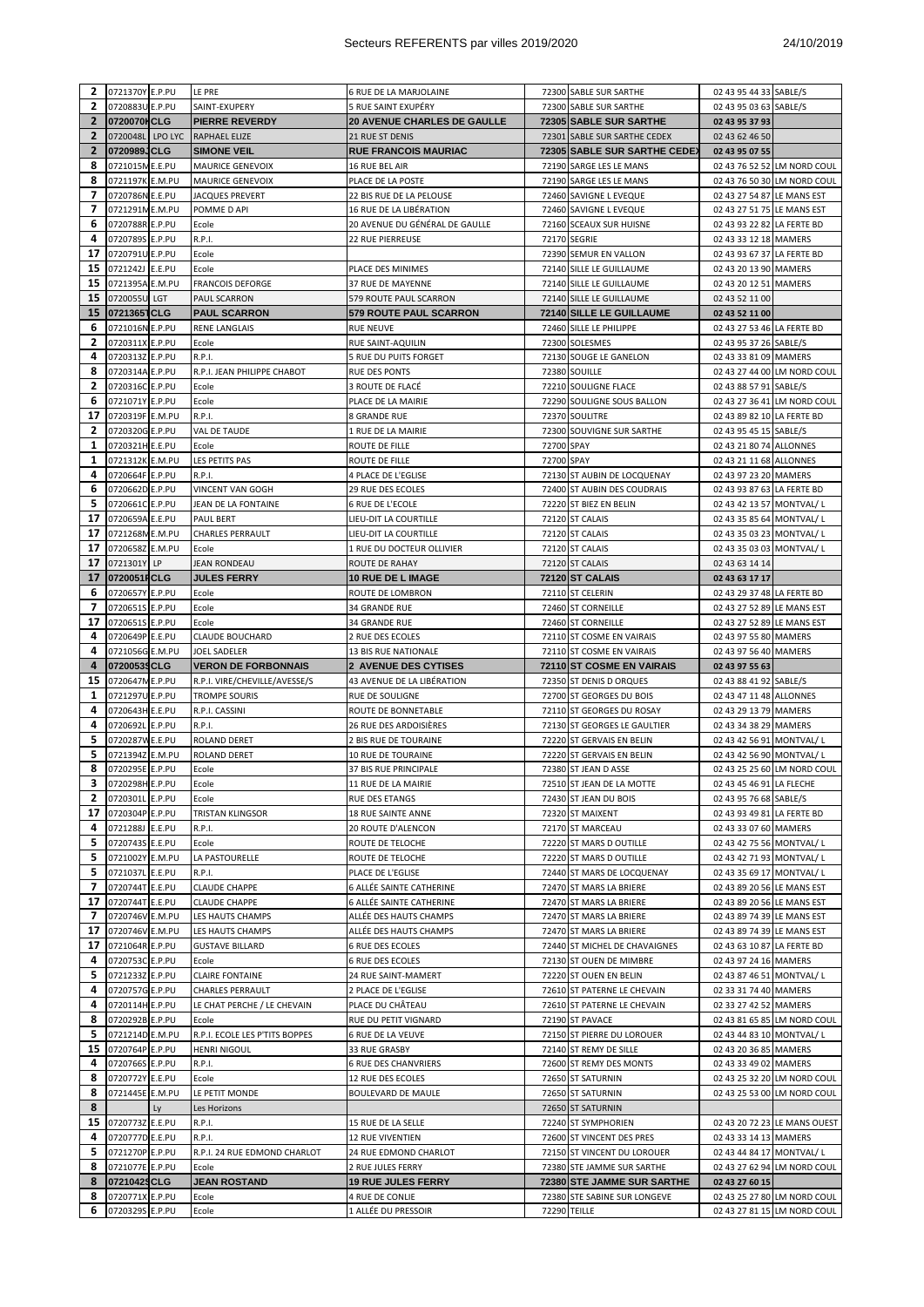| 2                 | 0721370Y E.P.PU                    |     | LE PRE                                                | 6 RUE DE LA MARJOLAINE                        |            | 72300 SABLE SUR SARTHE                                 | 02 43 95 44 33 SABLE/S                                     |  |
|-------------------|------------------------------------|-----|-------------------------------------------------------|-----------------------------------------------|------------|--------------------------------------------------------|------------------------------------------------------------|--|
| 2                 | 0720883U E.P.PU                    |     | SAINT-EXUPERY                                         | 5 RUE SAINT EXUPÉRY                           |            | 72300 SABLE SUR SARTHE                                 | 02 43 95 03 63 SABLE/S                                     |  |
| $\mathbf{2}$      | 0720070HCLG                        |     | <b>PIERRE REVERDY</b>                                 | <b>20 AVENUE CHARLES DE GAULLE</b>            |            | 72305 SABLE SUR SARTHE                                 | 02 43 95 37 93                                             |  |
| $\overline{2}$    | 0720048L LPO LYC                   |     | RAPHAEL ELIZE                                         | 21 RUE ST DENIS                               |            | 72301 SABLE SUR SARTHE CEDEX                           | 02 43 62 46 50                                             |  |
| $\mathbf{2}$<br>8 | 0720989JCLG                        |     | <b>SIMONE VEIL</b>                                    | <b>RUE FRANCOIS MAURIAC</b>                   |            | 72305 SABLE SUR SARTHE CEDE)                           | 02 43 95 07 55                                             |  |
| 8                 | 0721015M E.E.PU<br>0721197K E.M.PU |     | <b>MAURICE GENEVOIX</b><br>MAURICE GENEVOIX           | 16 RUE BEL AIR                                |            | 72190 SARGE LES LE MANS                                | 02 43 76 52 52 LM NORD COUL<br>02 43 76 50 30 LM NORD COUL |  |
| 7                 | 0720786N E.E.PU                    |     | JACQUES PREVERT                                       | PLACE DE LA POSTE<br>22 BIS RUE DE LA PELOUSE |            | 72190 SARGE LES LE MANS<br>72460 SAVIGNE L EVEQUE      | 02 43 27 54 87 LE MANS EST                                 |  |
| 7                 | 0721291ME.M.PU                     |     | POMME D API                                           | 16 RUE DE LA LIBÉRATION                       |            | 72460 SAVIGNE L EVEQUE                                 | 02 43 27 51 75 LE MANS EST                                 |  |
| 6                 | 0720788R E.P.PU                    |     | Ecole                                                 | 20 AVENUE DU GÉNÉRAL DE GAULLE                |            | 72160 SCEAUX SUR HUISNE                                | 02 43 93 22 82 LA FERTE BD                                 |  |
| 4                 | 0720789S E.P.PU                    |     | R.P.I.                                                | 22 RUE PIERREUSE                              |            | 72170 SEGRIE                                           | 02 43 33 12 18 MAMERS                                      |  |
| 17                | 0720791U E.P.PU                    |     | Ecole                                                 |                                               |            | 72390 SEMUR EN VALLON                                  | 02 43 93 67 37 LA FERTE BD                                 |  |
| 15                | 0721242J E.E.PU                    |     | Ecole                                                 | PLACE DES MINIMES                             |            | 72140 SILLE LE GUILLAUME                               | 02 43 20 13 90 MAMERS                                      |  |
| 15                | 0721395A E.M.PU                    |     | <b>FRANCOIS DEFORGE</b>                               | 37 RUE DE MAYENNE                             |            | 72140 SILLE LE GUILLAUME                               | 02 43 20 12 51 MAMERS                                      |  |
| 15                | 0720055U                           | LGT | PAUL SCARRON                                          | 579 ROUTE PAUL SCARRON                        |            | 72140 SILLE LE GUILLAUME                               | 02 43 52 11 00                                             |  |
| 15                | 07213651CLG                        |     | <b>PAUL SCARRON</b>                                   | <b>579 ROUTE PAUL SCARRON</b>                 |            | 72140 SILLE LE GUILLAUME                               | 02 43 52 11 00                                             |  |
| 6                 | 0721016N E.P.PU                    |     | RENE LANGLAIS                                         | <b>RUE NEUVE</b>                              |            | 72460 SILLE LE PHILIPPE                                | 02 43 27 53 46 LA FERTE BD                                 |  |
| 2                 | 0720311X E.P.PU                    |     | Ecole                                                 | RUE SAINT-AQUILIN                             |            | 72300 SOLESMES                                         | 02 43 95 37 26 SABLE/S                                     |  |
| 4                 | 0720313Z E.P.PU                    |     | R.P.I.                                                | 5 RUE DU PUITS FORGET                         |            | 72130 SOUGE LE GANELON                                 | 02 43 33 81 09 MAMERS                                      |  |
| 8                 | 0720314A E.P.PU                    |     | R.P.I. JEAN PHILIPPE CHABOT                           | RUE DES PONTS                                 |            | 72380 SOUILLE                                          | 02 43 27 44 00 LM NORD COUL                                |  |
| 2                 | 0720316C E.P.PU                    |     | Ecole                                                 | 3 ROUTE DE FLACÉ                              |            | 72210 SOULIGNE FLACE                                   | 02 43 88 57 91 SABLE/S                                     |  |
| 6                 | 0721071Y E.P.PU                    |     | Ecole                                                 | PLACE DE LA MAIRIE                            |            | 72290 SOULIGNE SOUS BALLON                             | 02 43 27 36 41 LM NORD COUL                                |  |
| 17                | 0720319F E.M.PU                    |     | R.P.I.                                                | 8 GRANDE RUE                                  |            | 72370 SOULITRE                                         | 02 43 89 82 10 LA FERTE BD                                 |  |
| 2                 | 0720320G E.P.PU                    |     | VAL DE TAUDE                                          | 1 RUE DE LA MAIRIE                            |            | 72300 SOUVIGNE SUR SARTHE                              | 02 43 95 45 15 SABLE/S                                     |  |
| 1                 | 0720321H E.E.PU                    |     | Ecole                                                 | ROUTE DE FILLE                                | 72700 SPAY |                                                        | 02 43 21 80 74 ALLONNES                                    |  |
| 1                 | 0721312K E.M.PU                    |     | LES PETITS PAS                                        | ROUTE DE FILLE                                | 72700 SPAY |                                                        | 02 43 21 11 68 ALLONNES                                    |  |
| 4                 | 0720664F E.P.PU                    |     | R.P.I.                                                | 4 PLACE DE L'EGLISE                           |            | 72130 ST AUBIN DE LOCQUENAY                            | 02 43 97 23 20 MAMERS                                      |  |
| 6                 | 0720662D E.P.PU                    |     | <b>VINCENT VAN GOGH</b>                               | <b>29 RUE DES ECOLES</b>                      |            | 72400 ST AUBIN DES COUDRAIS                            | 02 43 93 87 63 LA FERTE BD                                 |  |
| 5                 | 0720661C E.P.PU                    |     | JEAN DE LA FONTAINE                                   | <b>6 RUE DE L'ECOLE</b>                       |            | 72220 ST BIEZ EN BELIN                                 | 02 43 42 13 57 MONTVAL/L                                   |  |
| 17                | 0720659A E.E.PU                    |     | PAUL BERT                                             | LIEU-DIT LA COURTILLE                         |            | 72120 ST CALAIS                                        | 02 43 35 85 64 MONTVAL/L                                   |  |
| 17                | 0721268M E.M.PU                    |     | <b>CHARLES PERRAULT</b>                               | LIEU-DIT LA COURTILLE                         |            | 72120 ST CALAIS                                        | 02 43 35 03 23 MONTVAL/L                                   |  |
| 17                | 0720658Z E.M.PU                    |     | Ecole                                                 | 1 RUE DU DOCTEUR OLLIVIER                     |            | 72120 ST CALAIS                                        | 02 43 35 03 03 MONTVAL/L                                   |  |
| 17                | 0721301Y LP                        |     | JEAN RONDEAU                                          | ROUTE DE RAHAY                                |            | 72120 ST CALAIS                                        | 02 43 63 14 14                                             |  |
| 17                | 0720051FCLG                        |     | <b>JULES FERRY</b>                                    | <b>10 RUE DE L IMAGE</b>                      |            | 72120 ST CALAIS                                        | 02 43 63 17 17                                             |  |
| 6                 | 0720657Y E.P.PU                    |     | Ecole                                                 | ROUTE DE LOMBRON                              |            | 72110 ST CELERIN                                       | 02 43 29 37 48 LA FERTE BD                                 |  |
| 7                 | 0720651S E.P.PU                    |     | Ecole                                                 | 34 GRANDE RUE                                 |            | 72460 ST CORNEILLE                                     | 02 43 27 52 89 LE MANS EST                                 |  |
| 17                | 0720651S E.P.PU                    |     | Ecole                                                 | 34 GRANDE RUE                                 |            | 72460 ST CORNEILLE                                     | 02 43 27 52 89 LE MANS EST                                 |  |
| 4<br>4            | 0720649P E.E.PU<br>0721056G E.M.PU |     | <b>CLAUDE BOUCHARD</b><br>JOEL SADELER                | 2 RUE DES ECOLES<br>13 BIS RUE NATIONALE      |            | 72110 ST COSME EN VAIRAIS<br>72110 ST COSME EN VAIRAIS | 02 43 97 55 80 MAMERS<br>02 43 97 56 40 MAMERS             |  |
|                   |                                    |     |                                                       |                                               |            |                                                        |                                                            |  |
|                   |                                    |     |                                                       |                                               |            |                                                        |                                                            |  |
| 4                 | 07200539CLG                        |     | <b>VERON DE FORBONNAIS</b>                            | 2 AVENUE DES CYTISES                          |            | 72110 ST COSME EN VAIRAIS                              | 02 43 97 55 63                                             |  |
| 15<br>1           | 0720647M E.P.PU                    |     | R.P.I. VIRE/CHEVILLE/AVESSE/S                         | 43 AVENUE DE LA LIBÉRATION                    |            | 72350 ST DENIS D ORQUES<br>72700 ST GEORGES DU BOIS    | 02 43 88 41 92 SABLE/S                                     |  |
| 4                 | 0721297U E.P.PU<br>0720643H E.E.PU |     | TROMPE SOURIS<br>R.P.I. CASSINI                       | RUE DE SOULIGNE<br>ROUTE DE BONNETABLE        |            | 72110 ST GEORGES DU ROSAY                              | 02 43 47 11 48 ALLONNES<br>02 43 29 13 79 MAMERS           |  |
| 4                 | 0720692L E.P.PU                    |     | R.P.I.                                                | 26 RUE DES ARDOISIÈRES                        |            | 72130 ST GEORGES LE GAULTIER                           | 02 43 34 38 29 MAMERS                                      |  |
| 5                 | 0720287W E.E.PU                    |     | ROLAND DERET                                          | 2 BIS RUE DE TOURAINE                         |            | 72220 ST GERVAIS EN BELIN                              | 02 43 42 56 91 MONTVAL/L                                   |  |
| 5                 | 0721394Z E.M.PU                    |     | ROLAND DERET                                          | 10 RUE DE TOURAINE                            |            | 72220 ST GERVAIS EN BELIN                              | 02 43 42 56 90 MONTVAL/L                                   |  |
| 8                 | 0720295E E.P.PU                    |     | Ecole                                                 | 37 BIS RUE PRINCIPALE                         |            | 72380 ST JEAN D ASSE                                   | 02 43 25 25 60 LM NORD COUL                                |  |
|                   | 3 0720298H E.P.PU                  |     | Ecole                                                 | 11 RUE DE LA MAIRIE                           |            | 72510 ST JEAN DE LA MOTTE                              | 02 43 45 46 91 LA FLECHE                                   |  |
| 2                 | 0720301L E.P.PU                    |     | Ecole                                                 | RUE DES ETANGS                                |            | 72430 ST JEAN DU BOIS                                  | 02 43 95 76 68 SABLE/S                                     |  |
| 17                | 0720304P E.P.PU                    |     | TRISTAN KLINGSOR                                      | 18 RUE SAINTE ANNE                            |            | 72320 ST MAIXENT                                       | 02 43 93 49 81 LA FERTE BD                                 |  |
| 4                 | 0721288J E.E.PU                    |     | R.P.I.                                                | 20 ROUTE D'ALENCON                            |            | 72170 ST MARCEAU                                       | 02 43 33 07 60 MAMERS                                      |  |
| 5                 | 0720743S E.E.PU                    |     | Ecole                                                 | ROUTE DE TELOCHE                              |            | 72220 ST MARS D OUTILLE                                | 02 43 42 75 56 MONTVAL/L                                   |  |
| 5                 | 0721002Y E.M.PU                    |     | LA PASTOURELLE                                        | ROUTE DE TELOCHE                              |            | 72220 ST MARS D OUTILLE                                | 02 43 42 71 93 MONTVAL/ L                                  |  |
| 5                 | 0721037L E.E.PU                    |     | R.P.I.                                                | PLACE DE L'EGLISE                             |            | 72440 ST MARS DE LOCQUENAY                             | 02 43 35 69 17 MONTVAL/L                                   |  |
| 7                 | 0720744T E.E.PU                    |     | <b>CLAUDE CHAPPE</b>                                  | 6 ALLÉE SAINTE CATHERINE                      |            | 72470 ST MARS LA BRIERE                                | 02 43 89 20 56 LE MANS EST                                 |  |
| 17                | 0720744T E.E.PU                    |     | <b>CLAUDE CHAPPE</b>                                  | 6 ALLÉE SAINTE CATHERINE                      |            | 72470 ST MARS LA BRIERE                                | 02 43 89 20 56 LE MANS EST                                 |  |
| 7                 | 0720746V E.M.PU                    |     | LES HAUTS CHAMPS                                      | ALLÉE DES HAUTS CHAMPS                        |            | 72470 ST MARS LA BRIERE                                | 02 43 89 74 39 LE MANS EST                                 |  |
| 17                | 0720746V E.M.PU                    |     | LES HAUTS CHAMPS                                      | ALLÉE DES HAUTS CHAMPS                        |            | 72470 ST MARS LA BRIERE                                | 02 43 89 74 39 LE MANS EST                                 |  |
| 17                | 0721064R E.P.PU                    |     | <b>GUSTAVE BILLARD</b>                                | <b>6 RUE DES ECOLES</b>                       |            | 72440 ST MICHEL DE CHAVAIGNES                          | 02 43 63 10 87 LA FERTE BD                                 |  |
| 4                 | 0720753C E.P.PU                    |     | Ecole                                                 | <b>6 RUE DES ECOLES</b>                       |            | 72130 ST OUEN DE MIMBRE                                | 02 43 97 24 16 MAMERS                                      |  |
| 5                 | 0721233Z E.P.PU                    |     | <b>CLAIRE FONTAINE</b>                                | 24 RUE SAINT-MAMERT                           |            | 72220 ST OUEN EN BELIN                                 | 02 43 87 46 51 MONTVAL/L                                   |  |
| 4                 | 0720757G E.P.PU                    |     | CHARLES PERRAULT                                      | 2 PLACE DE L'EGLISE                           |            | 72610 ST PATERNE LE CHEVAIN                            | 02 33 31 74 40 MAMERS                                      |  |
| 4                 | 0720114H E.P.PU                    |     | LE CHAT PERCHE / LE CHEVAIN                           | PLACE DU CHÂTEAU                              |            | 72610 ST PATERNE LE CHEVAIN                            | 02 33 27 42 52 MAMERS                                      |  |
| 8                 | 0720292B E.P.PU                    |     | Ecole                                                 | RUE DU PETIT VIGNARD                          |            | 72190 ST PAVACE                                        | 02 43 81 65 85 LM NORD COUL                                |  |
| 5<br>15           | 0721214D E.M.PU<br>0720764P E.P.PU |     | R.P.I. ECOLE LES P'TITS BOPPES<br><b>HENRI NIGOUL</b> | <b>6 RUE DE LA VEUVE</b>                      |            | 72150 ST PIERRE DU LOROUER                             | 02 43 44 83 10 MONTVAL/ L                                  |  |
| 4                 | 0720766S E.P.PU                    |     | R.P.I.                                                | 33 RUE GRASBY<br><b>6 RUE DES CHANVRIERS</b>  |            | 72140 ST REMY DE SILLE                                 | 02 43 20 36 85 MAMERS                                      |  |
| 8                 | 0720772Y E.E.PU                    |     | Ecole                                                 |                                               |            | 72600 ST REMY DES MONTS                                | 02 43 33 49 02 MAMERS                                      |  |
| 8                 | 0721445E E.M.PU                    |     | LE PETIT MONDE                                        | 12 RUE DES ECOLES<br>BOULEVARD DE MAULE       |            | 72650 ST SATURNIN<br>72650 ST SATURNIN                 | 02 43 25 32 20 LM NORD COUL<br>02 43 25 53 00 LM NORD COUL |  |
| 8                 |                                    | Ly  | Les Horizons                                          |                                               |            | 72650 ST SATURNIN                                      |                                                            |  |
| 15                | 0720773Z E.E.PU                    |     | R.P.I.                                                | 15 RUE DE LA SELLE                            |            | 72240 ST SYMPHORIEN                                    | 02 43 20 72 23 LE MANS OUEST                               |  |
| 4                 | 0720777D E.E.PU                    |     | R.P.I.                                                | 12 RUE VIVENTIEN                              |            | 72600 ST VINCENT DES PRES                              | 02 43 33 14 13 MAMERS                                      |  |
| 5                 | 0721270P E.P.PU                    |     | R.P.I. 24 RUE EDMOND CHARLOT                          | 24 RUE EDMOND CHARLOT                         |            | 72150 ST VINCENT DU LOROUER                            | 02 43 44 84 17 MONTVAL/L                                   |  |
| 8                 | 0721077E E.P.PU                    |     | Ecole                                                 | 2 RUE JULES FERRY                             |            | 72380 STE JAMME SUR SARTHE                             | 02 43 27 62 94 LM NORD COUL                                |  |
| 8                 | 07210429CLG                        |     | <b>JEAN ROSTAND</b>                                   | <b>19 RUE JULES FERRY</b>                     |            | 72380 STE JAMME SUR SARTHE                             | 02 43 27 60 15                                             |  |
| 8                 | 0720771X E.P.PU                    |     | Ecole                                                 | 4 RUE DE CONLIE                               |            | 72380 STE SABINE SUR LONGEVE                           | 02 43 25 27 80 LM NORD COUL                                |  |